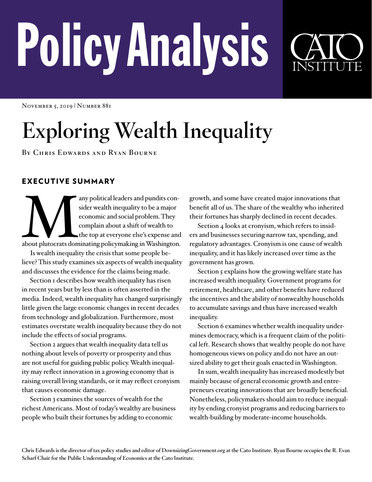# PolicyAnalysis



NOVEMBER 5, 2019 | NUMBER 881

# **Exploring Wealth Inequality**

**By Chris Edwards and Ryan Bourne**

# EXECUTIVE SUMMARY

any political leaders and pundits consider wealth inequality to be a major economic and social problem. They complain about a shift of wealth to the top at everyone else's expense and about plutocrats dominating policymaki sider wealth inequality to be a major economic and social problem. They complain about a shift of wealth to the top at everyone else's expense and

Is wealth inequality the crisis that some people believe? This study examines six aspects of wealth inequality and discusses the evidence for the claims being made.

Section I describes how wealth inequality has risen in recent years but by less than is often asserted in the media. Indeed, wealth inequality has changed surprisingly little given the large economic changes in recent decades from technology and globalization. Furthermore, most estimates overstate wealth inequality because they do not include the effects of social programs.

Section 2 argues that wealth inequality data tell us nothing about levels of poverty or prosperity and thus are not useful for guiding public policy. Wealth inequality may reflect innovation in a growing economy that is raising overall living standards, or it may reflect cronyism that causes economic damage.

Section 3 examines the sources of wealth for the richest Americans. Most of today's wealthy are business people who built their fortunes by adding to economic

growth, and some have created major innovations that benefit all of us. The share of the wealthy who inherited their fortunes has sharply declined in recent decades.

Section 4 looks at cronyism, which refers to insiders and businesses securing narrow tax, spending, and regulatory advantages. Cronyism is one cause of wealth inequality, and it has likely increased over time as the government has grown.

Section 5 explains how the growing welfare state has increased wealth inequality. Government programs for retirement, healthcare, and other benefits have reduced the incentives and the ability of nonwealthy households to accumulate savings and thus have increased wealth inequality.

Section 6 examines whether wealth inequality undermines democracy, which is a frequent claim of the political left. Research shows that wealthy people do not have homogeneous views on policy and do not have an outsized ability to get their goals enacted in Washington.

In sum, wealth inequality has increased modestly but mainly because of general economic growth and entrepreneurs creating innovations that are broadly beneficial. Nonetheless, policymakers should aim to reduce inequality by ending cronyist programs and reducing barriers to wealth-building by moderate-income households.

**Chris Edwards is the director of tax policy studies and editor of [DownsizingGovernment.org](http://DownsizingGovernment.org) at the Cato Institute. Ryan Bourne occupies the R. Evan Scharf Chair for the Public Understanding of Economics at the Cato Institute.**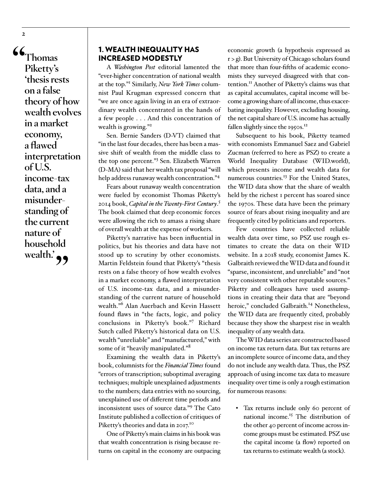**"Thomas Piketty's 'thesis rests on a false theory of how wealth evolves in a market economy, a flawed interpretation of U.S. income-tax data, and a misunderstanding of the current nature of household**  wealth.<sup>2</sup>

### 1. WEALTH INEQUALITY HAS INCREASED MODESTLY

A *Washington Post* editorial lamented the "ever-higher concentration of national wealth at the top."<sup>1</sup> Similarly, *New York Times* columnist Paul Krugman expressed concern that "we are once again living in an era of extraordinary wealth concentrated in the hands of a few people . . . And this concentration of wealth is growing."<sup>2</sup>

Sen. Bernie Sanders (D-VT) claimed that "in the last four decades, there has been a massive shift of wealth from the middle class to the top one percent."<sup>3</sup> Sen. Elizabeth Warren (D-MA) said that her wealth tax proposal "will help address runaway wealth concentration."4

Fears about runaway wealth concentration were fueled by economist Thomas Piketty's 2014 book, *Capital in the Twenty-First Century*. 5 The book claimed that deep economic forces were allowing the rich to amass a rising share of overall wealth at the expense of workers.

Piketty's narrative has been influential in politics, but his theories and data have not stood up to scrutiny by other economists. Martin Feldstein found that Piketty's "thesis rests on a false theory of how wealth evolves in a market economy, a flawed interpretation of U.S. income-tax data, and a misunderstanding of the current nature of household wealth."<sup>6</sup> Alan Auerbach and Kevin Hassett found flaws in "the facts, logic, and policy conclusions in Piketty's book."<sup>7</sup> Richard Sutch called Piketty's historical data on U.S. wealth "unreliable" and "manufactured," with some of it "heavily manipulated."<sup>8</sup>

Examining the wealth data in Piketty's book, columnists for the *Financial Times* found "errors of transcription; suboptimal averaging techniques; multiple unexplained adjustments to the numbers; data entries with no sourcing, unexplained use of different time periods and inconsistent uses of source data."<sup>9</sup> The Cato Institute published a collection of critiques of Piketty's theories and data in 2017.<sup>10</sup>

One of Piketty's main claims in his book was that wealth concentration is rising because returns on capital in the economy are outpacing economic growth (a hypothesis expressed as r > g). But University of Chicago scholars found that more than four-fifths of academic economists they surveyed disagreed with that contention.<sup>11</sup> Another of Piketty's claims was that as capital accumulates, capital income will become a growing share of all income, thus exacerbating inequality. However, excluding housing, the net capital share of U.S. income has actually fallen slightly since the 1950s.<sup>12</sup>

Subsequent to his book, Piketty teamed with economists Emmanuel Saez and Gabriel Zucman (referred to here as PSZ) to create a World Inequality Database (WID.world), which presents income and wealth data for numerous countries.<sup>13</sup> For the United States, the WID data show that the share of wealth held by the richest 1 percent has soared since the 1970s. These data have been the primary source of fears about rising inequality and are frequently cited by politicians and reporters.

Few countries have collected reliable wealth data over time, so PSZ use rough estimates to create the data on their WID website. In a 2018 study, economist James K. Galbraith reviewed the WID data and found it "sparse, inconsistent, and unreliable" and "not very consistent with other reputable sources." Piketty and colleagues have used assumptions in creating their data that are "beyond heroic," concluded Galbraith.<sup>14</sup> Nonetheless, the WID data are frequently cited, probably because they show the sharpest rise in wealth inequality of any wealth data.

The WID data series are constructed based on income tax return data. But tax returns are an incomplete source of income data, and they do not include any wealth data. Thus, the PSZ approach of using income tax data to measure inequality over time is only a rough estimation for numerous reasons:

<sup>y</sup> Tax returns include only 60 percent of national income.<sup>15</sup> The distribution of the other 40 percent of income across income groups must be estimated. PSZ use the capital income (a flow) reported on tax returns to estimate wealth (a stock).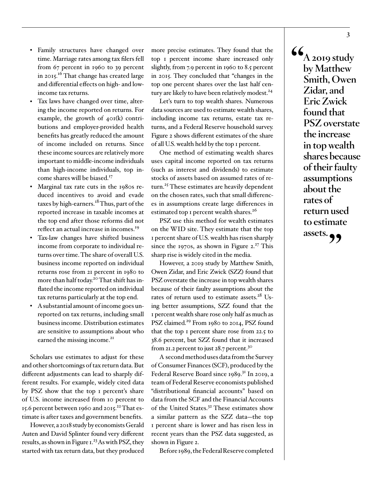- Family structures have changed over time. Marriage rates among tax filers fell from 67 percent in 1960 to 39 percent in 2015.<sup>16</sup> That change has created large and differential effects on high- and lowincome tax returns.
- Tax laws have changed over time, altering the income reported on returns. For example, the growth of 401(k) contributions and employer-provided health benefits has greatly reduced the amount of income included on returns. Since these income sources are relatively more important to middle-income individuals than high-income individuals, top income shares will be biased.<sup>17</sup>
- Marginal tax rate cuts in the 1980s reduced incentives to avoid and evade taxes by high-earners.<sup>18</sup> Thus, part of the reported increase in taxable incomes at the top end after those reforms did not reflect an actual increase in incomes.<sup>19</sup>
- Tax-law changes have shifted business income from corporate to individual returns over time. The share of overall U.S. business income reported on individual returns rose from 21 percent in 1980 to more than half today.<sup>20</sup> That shift has inflated the income reported on individual tax returns particularly at the top end.
- A substantial amount of income goes unreported on tax returns, including small business income. Distribution estimates are sensitive to assumptions about who earned the missing income.<sup>21</sup>

Scholars use estimates to adjust for these and other shortcomings of tax return data. But different adjustments can lead to sharply different results. For example, widely cited data by PSZ show that the top 1 percent's share of U.S. income increased from 10 percent to 15.6 percent between 1960 and 2015.<sup>22</sup> That estimate is after taxes and government benefits.

However, a 2018 study by economists Gerald Auten and David Splinter found very different results, as shown in Figure  $1.^{23}$  As with PSZ, they started with tax return data, but they produced more precise estimates. They found that the top 1 percent income share increased only slightly, from 7.9 percent in 1960 to 8.5 percent in 2015. They concluded that "changes in the top one percent shares over the last half century are likely to have been relatively modest.<sup>24</sup>

Let's turn to top wealth shares. Numerous data sources are used to estimate wealth shares, including income tax returns, estate tax returns, and a Federal Reserve household survey. Figure 2 shows different estimates of the share of all U.S. wealth held by the top 1 percent.

One method of estimating wealth shares uses capital income reported on tax returns (such as interest and dividends) to estimate stocks of assets based on assumed rates of return.<sup>25</sup> These estimates are heavily dependent on the chosen rates, such that small differences in assumptions create large differences in estimated top 1 percent wealth shares.<sup>26</sup>

PSZ use this method for wealth estimates on the WID site. They estimate that the top 1 percent share of U.S. wealth has risen sharply since the 1970s, as shown in Figure  $2.^{27}$  This sharp rise is widely cited in the media.

However, a 2019 study by Matthew Smith, Owen Zidar, and Eric Zwick (SZZ) found that PSZ overstate the increase in top wealth shares because of their faulty assumptions about the rates of return used to estimate assets.<sup>28</sup> Using better assumptions, SZZ found that the 1 percent wealth share rose only half as much as PSZ claimed.<sup>29</sup> From 1980 to 2014, PSZ found that the top 1 percent share rose from 22.5 to 38.6 percent, but SZZ found that it increased from 21.2 percent to just 28.7 percent.<sup>30</sup>

A second method uses data from the Survey of Consumer Finances (SCF), produced by the Federal Reserve Board since 1989.<sup>31</sup> In 2019, a team of Federal Reserve economists published "distributional financial accounts" based on data from the SCF and the Financial Accounts of the United States.<sup>32</sup> These estimates show a similar pattern as the SZZ data—the top 1 percent share is lower and has risen less in recent years than the PSZ data suggested, as shown in Figure 2.

Before 1989, the Federal Reserve completed

**"A 2019 study by Matthew Smith, Owen Zidar, and Eric Zwick found that PSZ overstate the increase in top wealth shares because of their faulty assumptions about the rates of return used to estimate assets."**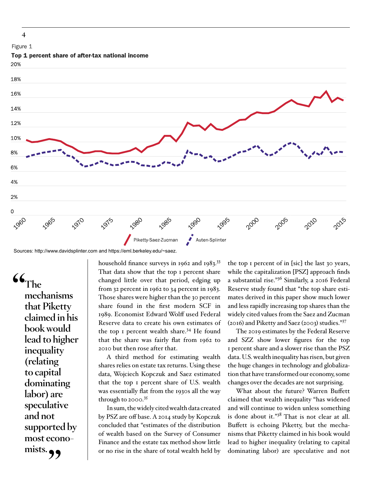

Sources: http://www.davidsplinter.com and https://eml.berkeley.edu/~saez.

**"The mechanisms that Piketty claimed in his book would lead to higher inequality (relating to capital dominating labor) are speculative and not supported by most econo**mists.

household finance surveys in 1962 and 1983.<sup>33</sup> That data show that the top I percent share changed little over that period, edging up from 32 percent in 1962 to 34 percent in 1983. Those shares were higher than the 30 percent share found in the first modern SCF in 1989. Economist Edward Wolff used Federal Reserve data to create his own estimates of the top 1 percent wealth share.<sup>34</sup> He found that the share was fairly flat from 1962 to 2010 but then rose after that.

A third method for estimating wealth shares relies on estate tax returns. Using these data, Wojciech Kopczuk and Saez estimated that the top 1 percent share of U.S. wealth was essentially flat from the 1930s all the way through to  $2000$ .<sup>35</sup>

In sum, the widely cited wealth data created by PSZ are off base. A 2014 study by Kopczuk concluded that "estimates of the distribution of wealth based on the Survey of Consumer Finance and the estate tax method show little or no rise in the share of total wealth held by

the top 1 percent of in [sic] the last 30 years, while the capitalization [PSZ] approach finds a substantial rise."36 Similarly, a 2016 Federal Reserve study found that "the top share estimates derived in this paper show much lower and less rapidly increasing top shares than the widely cited values from the Saez and Zucman (2016) and Piketty and Saez (2003) studies."37

The 2019 estimates by the Federal Reserve and SZZ show lower figures for the top 1 percent share and a slower rise than the PSZ data. U.S. wealth inequality has risen, but given the huge changes in technology and globalization that have transformed our economy, some changes over the decades are not surprising.

What about the future? Warren Buffett claimed that wealth inequality "has widened and will continue to widen unless something is done about it." $3^8$  That is not clear at all. Buffett is echoing Piketty, but the mechanisms that Piketty claimed in his book would lead to higher inequality (relating to capital dominating labor) are speculative and not

**4**

Figure 1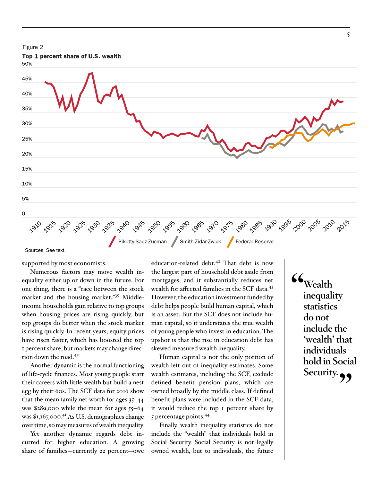

Sources: See text.

supported by most economists.

Numerous factors may move wealth inequality either up or down in the future. For one thing, there is a "race between the stock market and the housing market."39 Middleincome households gain relative to top groups when housing prices are rising quickly, but top groups do better when the stock market is rising quickly. In recent years, equity prices have risen faster, which has boosted the top 1 percent share, but markets may change direction down the road.40

Another dynamic is the normal functioning of life-cycle finances. Most young people start their careers with little wealth but build a nest egg by their 60s. The SCF data for 2016 show that the mean family net worth for ages 35–44 was \$289,000 while the mean for ages 55–64 was \$1,167,000.<sup>41</sup> As U.S. demographics change over time, so may measures of wealth inequality.

Yet another dynamic regards debt incurred for higher education. A growing share of families—currently 22 percent—owe

education-related debt.<sup>42</sup> That debt is now the largest part of household debt aside from mortgages, and it substantially reduces net wealth for affected families in the SCF data.<sup>43</sup> However, the education investment funded by debt helps people build human capital, which is an asset. But the SCF does not include human capital, so it understates the true wealth of young people who invest in education. The upshot is that the rise in education debt has skewed measured wealth inequality.

Human capital is not the only portion of wealth left out of inequality estimates. Some wealth estimates, including the SCF, exclude defined benefit pension plans, which are owned broadly by the middle class. If defined benefit plans were included in the SCF data, it would reduce the top 1 percent share by 5 percentage points.<sup>44</sup>

Finally, wealth inequality statistics do not include the "wealth" that individuals hold in Social Security. Social Security is not legally owned wealth, but to individuals, the future **"Wealth inequality statistics do not include the 'wealth' that individuals hold in Social**  Security.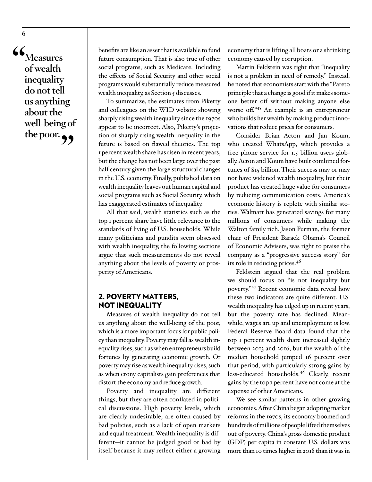**"Measures of wealth inequality do not tell us anything about the well-being of**  the poor.

benefits are like an asset that is available to fund future consumption. That is also true of other social programs, such as Medicare. Including the effects of Social Security and other social programs would substantially reduce measured wealth inequality, as Section 5 discusses.

To summarize, the estimates from Piketty and colleagues on the WID website showing sharply rising wealth inequality since the 1970s appear to be incorrect. Also, Piketty's projection of sharply rising wealth inequality in the future is based on flawed theories. The top 1 percent wealth share has risen in recent years, but the change has not been large over the past half century given the large structural changes in the U.S. economy. Finally, published data on wealth inequality leaves out human capital and social programs such as Social Security, which has exaggerated estimates of inequality.

All that said, wealth statistics such as the top 1 percent share have little relevance to the standards of living of U.S. households. While many politicians and pundits seem obsessed with wealth inequality, the following sections argue that such measurements do not reveal anything about the levels of poverty or prosperity of Americans.

#### 2. POVERTY MATTERS, NOT INEQUALITY

Measures of wealth inequality do not tell us anything about the well-being of the poor, which is a more important focus for public policy than inequality. Poverty may fall as wealth inequality rises, such as when entrepreneurs build fortunes by generating economic growth. Or poverty may rise as wealth inequality rises, such as when crony capitalists gain preferences that distort the economy and reduce growth.

Poverty and inequality are different things, but they are often conflated in political discussions. High poverty levels, which are clearly undesirable, are often caused by bad policies, such as a lack of open markets and equal treatment. Wealth inequality is different—it cannot be judged good or bad by itself because it may reflect either a growing

economy that is lifting all boats or a shrinking economy caused by corruption.

Martin Feldstein was right that "inequality is not a problem in need of remedy." Instead, he noted that economists start with the "Pareto principle that a change is good if it makes someone better off without making anyone else worse off."45 An example is an entrepreneur who builds her wealth by making product innovations that reduce prices for consumers.

Consider Brian Acton and Jan Koum, who created WhatsApp, which provides a free phone service for 1.5 billion users globally. Acton and Koum have built combined fortunes of \$15 billion. Their success may or may not have widened wealth inequality, but their product has created huge value for consumers by reducing communication costs. America's economic history is replete with similar stories. Walmart has generated savings for many millions of consumers while making the Walton family rich. Jason Furman, the former chair of President Barack Obama's Council of Economic Advisers, was right to praise the company as a "progressive success story" for its role in reducing prices.46

Feldstein argued that the real problem we should focus on "is not inequality but poverty."47 Recent economic data reveal how these two indicators are quite different. U.S. wealth inequality has edged up in recent years, but the poverty rate has declined. Meanwhile, wages are up and unemployment is low. Federal Reserve Board data found that the top 1 percent wealth share increased slightly between 2013 and 2016, but the wealth of the median household jumped 16 percent over that period, with particularly strong gains by less-educated households.<sup>48</sup> Clearly, recent gains by the top 1 percent have not come at the expense of other Americans.

We see similar patterns in other growing economies. After China began adopting market reforms in the 1970s, its economy boomed and hundreds of millions of people lifted themselves out of poverty. China's gross domestic product (GDP) per capita in constant U.S. dollars was more than 10 times higher in 2018 than it was in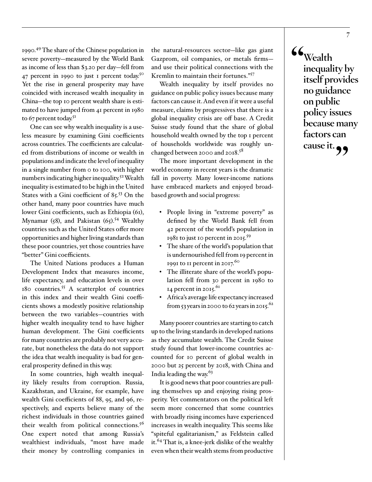1990.49 The share of the Chinese population in severe poverty—measured by the World Bank as income of less than \$3.20 per day—fell from 47 percent in 1990 to just 1 percent today.<sup>50</sup> Yet the rise in general prosperity may have coincided with increased wealth inequality in China—the top 10 percent wealth share is estimated to have jumped from 41 percent in 1980 to 67 percent today.<sup>51</sup>

One can see why wealth inequality is a useless measure by examining Gini coefficients across countries. The coefficients are calculated from distributions of income or wealth in populations and indicate the level of inequality in a single number from 0 to 100, with higher numbers indicating higher inequality.52 Wealth inequality is estimated to be high in the United States with a Gini coefficient of 85.53 On the other hand, many poor countries have much lower Gini coefficients, such as Ethiopia (61), Mynamar (58), and Pakistan  $(65)$ .<sup>54</sup> Wealthy countries such as the United States offer more opportunities and higher living standards than these poor countries, yet those countries have "better" Gini coefficients.

The United Nations produces a Human Development Index that measures income, life expectancy, and education levels in over 180 countries.55 A scatterplot of countries in this index and their wealth Gini coefficients shows a modestly positive relationship between the two variables—countries with higher wealth inequality tend to have higher human development. The Gini coefficients for many countries are probably not very accurate, but nonetheless the data do not support the idea that wealth inequality is bad for general prosperity defined in this way.

In some countries, high wealth inequality likely results from corruption. Russia, Kazakhstan, and Ukraine, for example, have wealth Gini coefficients of 88, 95, and 96, respectively, and experts believe many of the richest individuals in those countries gained their wealth from political connections.<sup>56</sup> One expert noted that among Russia's wealthiest individuals, "most have made their money by controlling companies in

the natural-resources sector—like gas giant Gazprom, oil companies, or metals firms and use their political connections with the Kremlin to maintain their fortunes."<sup>57</sup>

Wealth inequality by itself provides no guidance on public policy issues because many factors can cause it. And even if it were a useful measure, claims by progressives that there is a global inequality crisis are off base. A Credit Suisse study found that the share of global household wealth owned by the top 1 percent of households worldwide was roughly unchanged between 2000 and 2018.<sup>58</sup>

The more important development in the world economy in recent years is the dramatic fall in poverty. Many lower-income nations have embraced markets and enjoyed broadbased growth and social progress:

- People living in "extreme poverty" as defined by the World Bank fell from 42 percent of the world's population in 1981 to just 10 percent in 2015.<sup>59</sup>
- The share of the world's population that is undernourished fell from 19 percent in 1991 to 11 percent in  $2017$ <sup>60</sup>
- The illiterate share of the world's population fell from 30 percent in 1980 to 14 percent in 2015. $61$
- Africa's average life expectancy increased from 53 years in 2000 to 62 years in 2015.<sup>62</sup>

Many poorer countries are starting to catch up to the living standards in developed nations as they accumulate wealth. The Credit Suisse study found that lower-income countries accounted for 10 percent of global wealth in 2000 but 25 percent by 2018, with China and India leading the way.<sup>63</sup>

It is good news that poor countries are pulling themselves up and enjoying rising prosperity. Yet commentators on the political left seem more concerned that some countries with broadly rising incomes have experienced increases in wealth inequality. This seems like "spiteful egalitarianism," as Feldstein called it.64 That is, a knee-jerk dislike of the wealthy even when their wealth stems from productive **"Wealth inequality by itself provides no guidance on public policy issues because many factors can cause it."**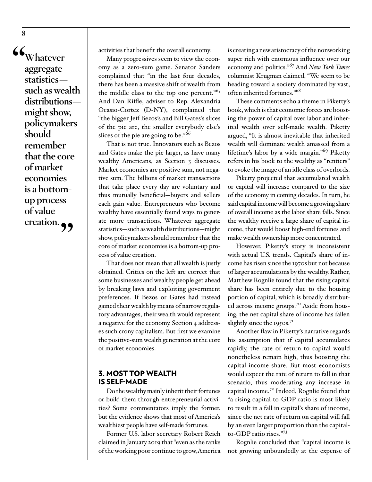**"Whatever aggregate statistics such as wealth distributions might show, policymakers should remember that the core of market economies is a bottomup process of value**  creation.<sub>99</sub>

activities that benefit the overall economy.

Many progressives seem to view the economy as a zero-sum game. Senator Sanders complained that "in the last four decades, there has been a massive shift of wealth from the middle class to the top one percent."<sup>65</sup> And Dan Riffle, adviser to Rep. Alexandria Ocasio-Cortez (D-NY), complained that "the bigger Jeff Bezos's and Bill Gates's slices of the pie are, the smaller everybody else's slices of the pie are going to be."<sup>66</sup>

That is not true. Innovators such as Bezos and Gates make the pie larger, as have many wealthy Americans, as Section 3 discusses. Market economies are positive sum, not negative sum. The billions of market transactions that take place every day are voluntary and thus mutually beneficial—buyers and sellers each gain value. Entrepreneurs who become wealthy have essentially found ways to generate more transactions. Whatever aggregate statistics—such as wealth distributions—might show, policymakers should remember that the core of market economies is a bottom-up process of value creation.

That does not mean that all wealth is justly obtained. Critics on the left are correct that some businesses and wealthy people get ahead by breaking laws and exploiting government preferences. If Bezos or Gates had instead gained their wealth by means of narrow regulatory advantages, their wealth would represent a negative for the economy. Section 4 addresses such crony capitalism. But first we examine the positive-sum wealth generation at the core of market economies.

#### 3. MOST TOP WEALTH IS SELF-MADE

Do the wealthy mainly inherit their fortunes or build them through entrepreneurial activities? Some commentators imply the former, but the evidence shows that most of America's wealthiest people have self-made fortunes.

Former U.S. labor secretary Robert Reich claimed in January 2019 that "even as the ranks of the working poor continue to grow, America is creating a new aristocracy of the nonworking super rich with enormous influence over our economy and politics."67 And *New York Times* columnist Krugman claimed, "We seem to be heading toward a society dominated by vast, often inherited fortunes."68

These comments echo a theme in Piketty's book, which is that economic forces are boosting the power of capital over labor and inherited wealth over self-made wealth. Piketty argued, "It is almost inevitable that inherited wealth will dominate wealth amassed from a lifetime's labor by a wide margin."69 Piketty refers in his book to the wealthy as "rentiers" to evoke the image of an idle class of overlords.

Piketty projected that accumulated wealth or capital will increase compared to the size of the economy in coming decades. In turn, he said capital income will become a growing share of overall income as the labor share falls. Since the wealthy receive a large share of capital income, that would boost high-end fortunes and make wealth ownership more concentrated.

However, Piketty's story is inconsistent with actual U.S. trends. Capital's share of income has risen since the 1970s but not because of larger accumulations by the wealthy. Rather, Matthew Rognlie found that the rising capital share has been entirely due to the housing portion of capital, which is broadly distributed across income groups.<sup>70</sup> Aside from housing, the net capital share of income has fallen slightly since the 1950s. $7<sup>T</sup>$ 

Another flaw in Piketty's narrative regards his assumption that if capital accumulates rapidly, the rate of return to capital would nonetheless remain high, thus boosting the capital income share. But most economists would expect the rate of return to fall in that scenario, thus moderating any increase in capital income.72 Indeed, Rognlie found that "a rising capital-to-GDP ratio is most likely to result in a fall in capital's share of income, since the net rate of return on capital will fall by an even larger proportion than the capitalto-GDP ratio rises."<sup>73</sup>

Rognlie concluded that "capital income is not growing unboundedly at the expense of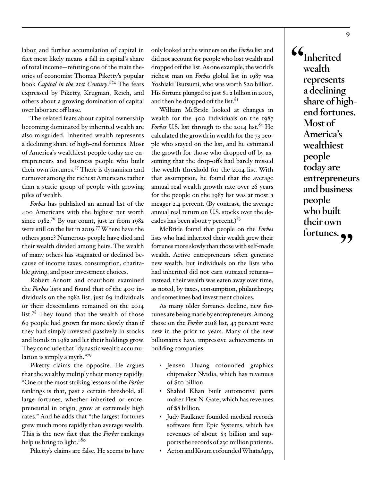labor, and further accumulation of capital in fact most likely means a fall in capital's share of total income—refuting one of the main theories of economist Thomas Piketty's popular book *Capital in the 21st Century*."74 The fears expressed by Piketty, Krugman, Reich, and others about a growing domination of capital over labor are off base.

The related fears about capital ownership becoming dominated by inherited wealth are also misguided. Inherited wealth represents a declining share of high-end fortunes. Most of America's wealthiest people today are entrepreneurs and business people who built their own fortunes.75 There is dynamism and turnover among the richest Americans rather than a static group of people with growing piles of wealth.

*Forbes* has published an annual list of the 400 Americans with the highest net worth since  $1982^{76}$  By our count, just 21 from  $1982$ were still on the list in 2019.77 Where have the others gone? Numerous people have died and their wealth divided among heirs. The wealth of many others has stagnated or declined because of income taxes, consumption, charitable giving, and poor investment choices.

Robert Arnott and coauthors examined the *Forbes* lists and found that of the 400 individuals on the 1982 list, just 69 individuals or their descendants remained on the 2014 list.<sup>78</sup> They found that the wealth of those 69 people had grown far more slowly than if they had simply invested passively in stocks and bonds in 1982 and let their holdings grow. They conclude that "dynastic wealth accumulation is simply a myth."<sup>79</sup>

Piketty claims the opposite. He argues that the wealthy multiply their money rapidly: "One of the most striking lessons of the *Forbes* rankings is that, past a certain threshold, all large fortunes, whether inherited or entrepreneurial in origin, grow at extremely high rates." And he adds that "the largest fortunes grew much more rapidly than average wealth. This is the new fact that the *Forbes* rankings help us bring to light."<sup>80</sup>

Piketty's claims are false. He seems to have

only looked at the winners on the *Forbes* list and did not account for people who lost wealth and dropped off the list. As one example, the world's richest man on *Forbes* global list in 1987 was Yoshiaki Tsutsumi, who was worth \$20 billion. His fortune plunged to just \$1.2 billion in 2006, and then he dropped off the list. $81$ 

William McBride looked at changes in wealth for the 400 individuals on the 1987 *Forbes* U.S. list through to the 2014 list.<sup>82</sup> He calculated the growth in wealth for the 73 people who stayed on the list, and he estimated the growth for those who dropped off by assuming that the drop-offs had barely missed the wealth threshold for the 2014 list. With that assumption, he found that the average annual real wealth growth rate over 26 years for the people on the 1987 list was at most a meager 2.4 percent. (By contrast, the average annual real return on U.S. stocks over the decades has been about 7 percent.) $^{83}$ 

McBride found that people on the *Forbes* lists who had inherited their wealth grew their fortunes more slowly than those with self-made wealth. Active entrepreneurs often generate new wealth, but individuals on the lists who had inherited did not earn outsized returns instead, their wealth was eaten away over time, as noted, by taxes, consumption, philanthropy, and sometimes bad investment choices.

As many older fortunes decline, new fortunes are being made by entrepreneurs. Among those on the *Forbes* 2018 list, 43 percent were new in the prior 10 years. Many of the new billionaires have impressive achievements in building companies:

- Jensen Huang cofounded graphics chipmaker Nvidia, which has revenues of \$10 billion.
- Shahid Khan built automotive parts maker Flex-N-Gate, which has revenues of \$8 billion.
- Judy Faulkner founded medical records software firm Epic Systems, which has revenues of about \$3 billion and supports the records of 230 million patients.
- Acton and Koum cofounded WhatsApp,

**"Inherited wealth represents a declining share of highend fortunes. Most of America's wealthiest people today are entrepreneurs and business people who built their own fortunes."**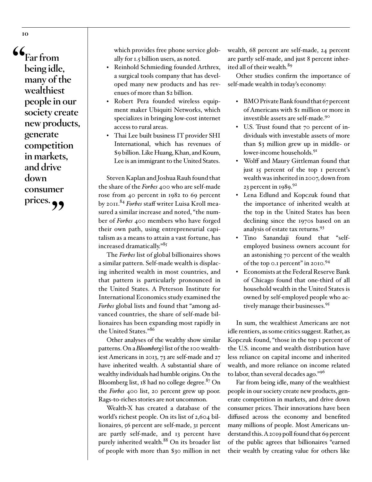**"Far from being idle, many of the wealthiest people in our society create new products, generate competition in markets, and drive down consumer**  prices.<sub>?</sub>

which provides free phone service globally for 1.5 billion users, as noted.

- Reinhold Schmieding founded Arthrex, a surgical tools company that has developed many new products and has revenues of more than \$2 billion.
- Robert Pera founded wireless equipment maker Ubiquiti Networks, which specializes in bringing low-cost internet access to rural areas.
- Thai Lee built business IT provider SHI International, which has revenues of \$9 billion. Like Huang, Khan, and Koum, Lee is an immigrant to the United States.

Steven Kaplan and Joshua Rauh found that the share of the *Forbes* 400 who are self-made rose from 40 percent in 1982 to 69 percent by 2011.<sup>84</sup> *Forbes* staff writer Luisa Kroll measured a similar increase and noted, "the number of *Forbes* 400 members who have forged their own path, using entrepreneurial capitalism as a means to attain a vast fortune, has increased dramatically."<sup>85</sup>

The *Forbes* list of global billionaires shows a similar pattern. Self-made wealth is displacing inherited wealth in most countries, and that pattern is particularly pronounced in the United States. A Peterson Institute for International Economics study examined the *Forbes* global lists and found that "among advanced countries, the share of self-made billionaires has been expanding most rapidly in the United States."<sup>86</sup>

Other analyses of the wealthy show similar patterns. On a *Bloomberg's* list of the 100 wealthiest Americans in 2013, 73 are self-made and 27 have inherited wealth. A substantial share of wealthy individuals had humble origins. On the Bloomberg list, 18 had no college degree. $87$  On the *Forbes* 400 list, 20 percent grew up poor. Rags-to-riches stories are not uncommon.

Wealth-X has created a database of the world's richest people. On its list of 2,604 billionaires, 56 percent are self-made, 31 percent are partly self-made, and 13 percent have purely inherited wealth.<sup>88</sup> On its broader list of people with more than \$30 million in net wealth, 68 percent are self-made, 24 percent are partly self-made, and just 8 percent inherited all of their wealth.<sup>89</sup>

Other studies confirm the importance of self-made wealth in today's economy:

- BMO Private Bank found that 67 percent of Americans with \$1 million or more in investible assets are self-made.90
- U.S. Trust found that 70 percent of individuals with investable assets of more than \$3 million grew up in middle- or lower-income households.<sup>91</sup>
- Wolff and Maury Gittleman found that just 15 percent of the top 1 percent's wealth was inherited in 2007, down from 23 percent in  $1989.<sup>92</sup>$
- Lena Edlund and Kopczuk found that the importance of inherited wealth at the top in the United States has been declining since the 1970s based on an analysis of estate tax returns.<sup>93</sup>
- Tino Sanandaji found that "selfemployed business owners account for an astonishing 70 percent of the wealth of the top 0.1 percent" in 2010.<sup>94</sup>
- <sup>y</sup> Economists at the Federal Reserve Bank of Chicago found that one-third of all household wealth in the United States is owned by self-employed people who actively manage their businesses.95

In sum, the wealthiest Americans are not idle rentiers, as some critics suggest. Rather, as Kopczuk found, "those in the top 1 percent of the U.S. income and wealth distribution have less reliance on capital income and inherited wealth, and more reliance on income related to labor, than several decades ago."<sup>96</sup>

Far from being idle, many of the wealthiest people in our society create new products, generate competition in markets, and drive down consumer prices. Their innovations have been diffused across the economy and benefited many millions of people. Most Americans understand this. A 2019 poll found that 69 percent of the public agrees that billionaires "earned their wealth by creating value for others like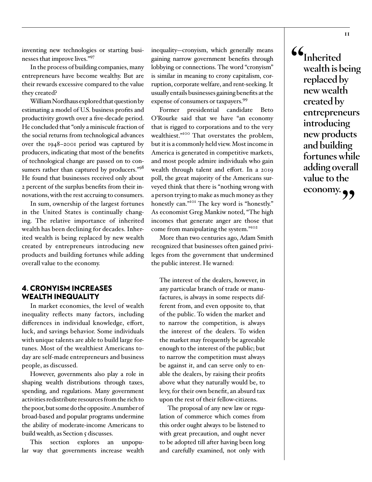inventing new technologies or starting businesses that improve lives."97

In the process of building companies, many entrepreneurs have become wealthy. But are their rewards excessive compared to the value they created?

William Nordhaus explored that question by estimating a model of U.S. business profits and productivity growth over a five-decade period. He concluded that "only a miniscule fraction of the social returns from technological advances over the 1948–2001 period was captured by producers, indicating that most of the benefits of technological change are passed on to consumers rather than captured by producers."98 He found that businesses received only about 2 percent of the surplus benefits from their innovations, with the rest accruing to consumers.

In sum, ownership of the largest fortunes in the United States is continually changing. The relative importance of inherited wealth has been declining for decades. Inherited wealth is being replaced by new wealth created by entrepreneurs introducing new products and building fortunes while adding overall value to the economy.

#### 4. CRONYISM INCREASES WEALTH INEQUALITY

In market economies, the level of wealth inequality reflects many factors, including differences in individual knowledge, effort, luck, and savings behavior. Some individuals with unique talents are able to build large fortunes. Most of the wealthiest Americans today are self-made entrepreneurs and business people, as discussed.

However, governments also play a role in shaping wealth distributions through taxes, spending, and regulations. Many government activities redistribute resources from the rich to the poor, but some do the opposite. A number of broad-based and popular programs undermine the ability of moderate-income Americans to build wealth, as Section 5 discusses.

This section explores an unpopular way that governments increase wealth inequality—cronyism, which generally means gaining narrow government benefits through lobbying or connections. The word "cronyism" is similar in meaning to crony capitalism, corruption, corporate welfare, and rent-seeking. It usually entails businesses gaining benefits at the expense of consumers or taxpayers.<sup>99</sup>

Former presidential candidate Beto O'Rourke said that we have "an economy that is rigged to corporations and to the very wealthiest."<sup>100</sup> That overstates the problem, but it is a commonly held view. Most income in America is generated in competitive markets, and most people admire individuals who gain wealth through talent and effort. In a 2019 poll, the great majority of the Americans surveyed think that there is "nothing wrong with a person trying to make as much money as they honestly can."<sup>101</sup> The key word is "honestly." As economist Greg Mankiw noted, "The high incomes that generate anger are those that come from manipulating the system."102

More than two centuries ago, Adam Smith recognized that businesses often gained privileges from the government that undermined the public interest. He warned:

The interest of the dealers, however, in any particular branch of trade or manufactures, is always in some respects different from, and even opposite to, that of the public. To widen the market and to narrow the competition, is always the interest of the dealers. To widen the market may frequently be agreeable enough to the interest of the public; but to narrow the competition must always be against it, and can serve only to enable the dealers, by raising their profits above what they naturally would be, to levy, for their own benefit, an absurd tax upon the rest of their fellow-citizens.

The proposal of any new law or regulation of commerce which comes from this order ought always to be listened to with great precaution, and ought never to be adopted till after having been long and carefully examined, not only with

**"Inherited wealth is being replaced by new wealth created by entrepreneurs introducing new products and building fortunes while adding overall value to the economy."**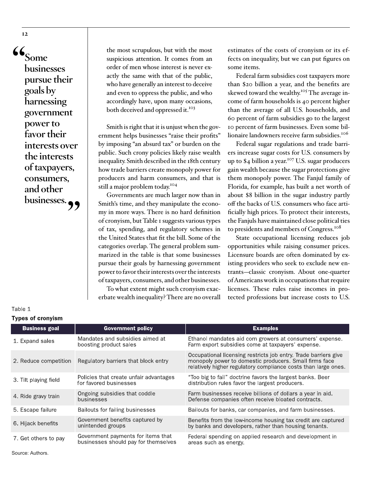**"Some businesses pursue their goals by harnessing government power to favor their interests over the interests of taxpayers, consumers, and other businesses."**

the most scrupulous, but with the most suspicious attention. It comes from an order of men whose interest is never exactly the same with that of the public, who have generally an interest to deceive and even to oppress the public, and who accordingly have, upon many occasions, both deceived and oppressed it.<sup>103</sup>

Smith is right that it is unjust when the government helps businesses "raise their profits" by imposing "an absurd tax" or burden on the public. Such crony policies likely raise wealth inequality. Smith described in the 18th century how trade barriers create monopoly power for producers and harm consumers, and that is still a major problem today.<sup>104</sup>

Governments are much larger now than in Smith's time, and they manipulate the economy in more ways. There is no hard definition of cronyism, but Table 1 suggests various types of tax, spending, and regulatory schemes in the United States that fit the bill. Some of the categories overlap. The general problem summarized in the table is that some businesses pursue their goals by harnessing government power to favor their interests over the interests of taxpayers, consumers, and other businesses.

To what extent might such cronyism exacerbate wealth inequality? There are no overall estimates of the costs of cronyism or its effects on inequality, but we can put figures on some items.

Federal farm subsidies cost taxpayers more than \$20 billion a year, and the benefits are skewed toward the wealthy.<sup>105</sup> The average income of farm households is 40 percent higher than the average of all U.S. households, and 60 percent of farm subsidies go to the largest 10 percent of farm businesses. Even some billionaire landowners receive farm subsidies.<sup>106</sup>

Federal sugar regulations and trade barriers increase sugar costs for U.S. consumers by up to \$4 billion a year.<sup>107</sup> U.S. sugar producers gain wealth because the sugar protections give them monopoly power. The Fanjul family of Florida, for example, has built a net worth of about \$8 billion in the sugar industry partly off the backs of U.S. consumers who face artificially high prices. To protect their interests, the Fanjuls have maintained close political ties to presidents and members of Congress.<sup>108</sup>

State occupational licensing reduces job opportunities while raising consumer prices. Licensure boards are often dominated by existing providers who seek to exclude new entrants—classic cronyism. About one-quarter of Americans work in occupations that require licenses. These rules raise incomes in protected professions but increase costs to U.S.

| Types of cronyism     |                                                                            |                                                                                                                                                                                             |
|-----------------------|----------------------------------------------------------------------------|---------------------------------------------------------------------------------------------------------------------------------------------------------------------------------------------|
| <b>Business goal</b>  | <b>Government policy</b>                                                   | <b>Examples</b>                                                                                                                                                                             |
| 1 Expand sales        | Mandates and subsidies aimed at<br>boosting product sales                  | Ethanol mandates aid corn growers at consumers' expense.<br>Farm export subsidies come at taxpayers' expense.                                                                               |
| 2. Reduce competition | Regulatory barriers that block entry                                       | Occupational licensing restricts job entry. Trade barriers give<br>monopoly power to domestic producers. Small firms face<br>relatively higher regulatory compliance costs than large ones. |
| 3. Tilt playing field | Policies that create unfair advantages<br>for favored businesses           | "Too big to fail" doctrine favors the largest banks. Beer<br>distribution rules favor the largest producers.                                                                                |
| 4. Ride gravy train   | Ongoing subsidies that coddle<br>businesses                                | Farm businesses receive billions of dollars a year in aid.<br>Defense companies often receive bloated contracts.                                                                            |
| 5. Escape failure     | Bailouts for failing businesses                                            | Bailouts for banks, car companies, and farm businesses.                                                                                                                                     |
| 6. Hijack benefits    | Government benefits captured by<br>unintended groups                       | Benefits from the low-income housing tax credit are captured<br>by banks and developers, rather than housing tenants.                                                                       |
| 7. Get others to pay  | Government payments for items that<br>businesses should pay for themselves | Federal spending on applied research and development in<br>areas such as energy.                                                                                                            |

Table 1  $\sum_{i=1}^{n}$ 

# **12**

Source: Authors.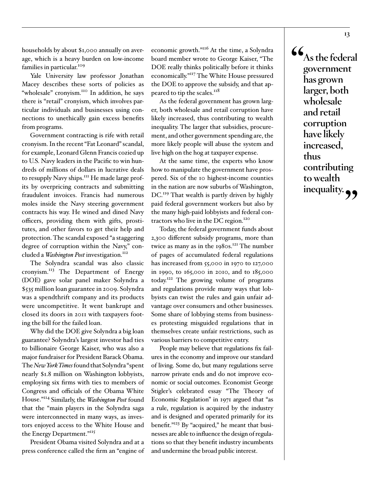households by about \$1,000 annually on average, which is a heavy burden on low-income families in particular.<sup>109</sup>

Yale University law professor Jonathan Macey describes these sorts of policies as "wholesale" cronyism.<sup>110</sup> In addition, he says there is "retail" cronyism, which involves particular individuals and businesses using connections to unethically gain excess benefits from programs.

Government contracting is rife with retail cronyism. In the recent "Fat Leonard" scandal, for example, Leonard Glenn Francis cozied up to U.S. Navy leaders in the Pacific to win hundreds of millions of dollars in lucrative deals to resupply Navy ships.<sup>111</sup> He made large profits by overpricing contracts and submitting fraudulent invoices. Francis had numerous moles inside the Navy steering government contracts his way. He wined and dined Navy officers, providing them with gifts, prostitutes, and other favors to get their help and protection. The scandal exposed "a staggering degree of corruption within the Navy," concluded a *Washington Post* investigation.<sup>112</sup>

The Solyndra scandal was also classic cronyism.<sup>113</sup> The Department of Energy (DOE) gave solar panel maker Solyndra a \$535 million loan guarantee in 2009. Solyndra was a spendthrift company and its products were uncompetitive. It went bankrupt and closed its doors in 2011 with taxpayers footing the bill for the failed loan.

Why did the DOE give Solyndra a big loan guarantee? Solyndra's largest investor had ties to billionaire George Kaiser, who was also a major fundraiser for President Barack Obama. The *New York Times* found that Solyndra "spent nearly \$1.8 million on Washington lobbyists, employing six firms with ties to members of Congress and officials of the Obama White House."114 Similarly, the *Washington Post* found that the "main players in the Solyndra saga were interconnected in many ways, as investors enjoyed access to the White House and the Energy Department."<sup>115</sup>

President Obama visited Solyndra and at a press conference called the firm an "engine of

economic growth."<sup>116</sup> At the time, a Solyndra board member wrote to George Kaiser, "The DOE really thinks politically before it thinks economically."117 The White House pressured the DOE to approve the subsidy, and that appeared to tip the scales.<sup>118</sup>

As the federal government has grown larger, both wholesale and retail corruption have likely increased, thus contributing to wealth inequality. The larger that subsidies, procurement, and other government spending are, the more likely people will abuse the system and live high on the hog at taxpayer expense.

At the same time, the experts who know how to manipulate the government have prospered. Six of the 10 highest-income counties in the nation are now suburbs of Washington, DC.<sup>119</sup> That wealth is partly driven by highly paid federal government workers but also by the many high-paid lobbyists and federal contractors who live in the DC region.<sup>120</sup>

Today, the federal government funds about 2,300 different subsidy programs, more than twice as many as in the  $198$ 0s.<sup>121</sup> The number of pages of accumulated federal regulations has increased from 55,000 in 1970 to 127,000 in 1990, to 165,000 in 2010, and to 185,000 today.122 The growing volume of programs and regulations provide many ways that lobbyists can twist the rules and gain unfair advantage over consumers and other businesses. Some share of lobbying stems from businesses protesting misguided regulations that in themselves create unfair restrictions, such as various barriers to competitive entry.

People may believe that regulations fix failures in the economy and improve our standard of living. Some do, but many regulations serve narrow private ends and do not improve economic or social outcomes. Economist George Stigler's celebrated essay "The Theory of Economic Regulation" in 1971 argued that "as a rule, regulation is acquired by the industry and is designed and operated primarily for its benefit."123 By "acquired," he meant that businesses are able to influence the design of regulations so that they benefit industry incumbents and undermine the broad public interest.

**"As the federal government has grown larger, both wholesale and retail corruption have likely increased, thus contributing to wealth**  inequality.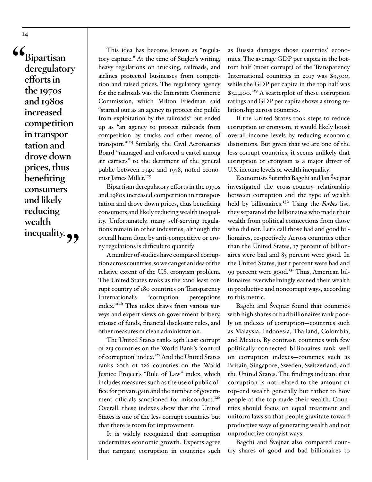**"Bipartisan deregulatory efforts in the 1970s and 1980s increased competition in transportation and drove down prices, thus benefiting consumers and likely reducing wealth**  inequality.  $\rightarrow$ 

This idea has become known as "regulatory capture." At the time of Stigler's writing, heavy regulations on trucking, railroads, and airlines protected businesses from competition and raised prices. The regulatory agency for the railroads was the Interstate Commerce Commission, which Milton Friedman said "started out as an agency to protect the public from exploitation by the railroads" but ended up as "an agency to protect railroads from competition by trucks and other means of transport."124 Similarly, the Civil Aeronautics Board "managed and enforced a cartel among air carriers" to the detriment of the general public between 1940 and 1978, noted economist James Miller.<sup>125</sup>

Bipartisan deregulatory efforts in the 1970s and 1980s increased competition in transportation and drove down prices, thus benefiting consumers and likely reducing wealth inequality. Unfortunately, many self-serving regulations remain in other industries, although the overall harm done by anti-competitive or crony regulations is difficult to quantify.

A number of studies have compared corruption across countries, so we can get an idea of the relative extent of the U.S. cronyism problem. The United States ranks as the 22nd least corrupt country of 180 countries on Transparency International's "corruption perceptions index."126 This index draws from various surveys and expert views on government bribery, misuse of funds, financial disclosure rules, and other measures of clean administration.

The United States ranks 25th least corrupt of 213 countries on the World Bank's "control of corruption" index.<sup>127</sup> And the United States ranks 20th of 126 countries on the World Justice Project's "Rule of Law" index, which includes measures such as the use of public office for private gain and the number of government officials sanctioned for misconduct.<sup>128</sup> Overall, these indexes show that the United States is one of the less corrupt countries but that there is room for improvement.

It is widely recognized that corruption undermines economic growth. Experts agree that rampant corruption in countries such as Russia damages those countries' economies. The average GDP per capita in the bottom half (most corrupt) of the Transparency International countries in 2017 was \$9,300, while the GDP per capita in the top half was  $$34,400.<sup>129</sup>$  A scatterplot of these corruption ratings and GDP per capita shows a strong relationship across countries.

If the United States took steps to reduce corruption or cronyism, it would likely boost overall income levels by reducing economic distortions. But given that we are one of the less corrupt countries, it seems unlikely that corruption or cronyism is a major driver of U.S. income levels or wealth inequality.

Economists Sutirtha Bagchi and Jan Švejnar investigated the cross-country relationship between corruption and the type of wealth held by billionaires.130 Using the *Forbes* list, they separated the billionaires who made their wealth from political connections from those who did not. Let's call those bad and good billionaires, respectively. Across countries other than the United States, 17 percent of billionaires were bad and 83 percent were good. In the United States, just 1 percent were bad and 99 percent were good.<sup>131</sup> Thus, American billionaires overwhelmingly earned their wealth in productive and noncorrupt ways, according to this metric.

Bagchi and Švejnar found that countries with high shares of bad billionaires rank poorly on indexes of corruption—countries such as Malaysia, Indonesia, Thailand, Colombia, and Mexico. By contrast, countries with few politically connected billionaires rank well on corruption indexes—countries such as Britain, Singapore, Sweden, Switzerland, and the United States. The findings indicate that corruption is not related to the amount of top-end wealth generally but rather to how people at the top made their wealth. Countries should focus on equal treatment and uniform laws so that people gravitate toward productive ways of generating wealth and not unproductive cronyist ways.

Bagchi and Švejnar also compared country shares of good and bad billionaires to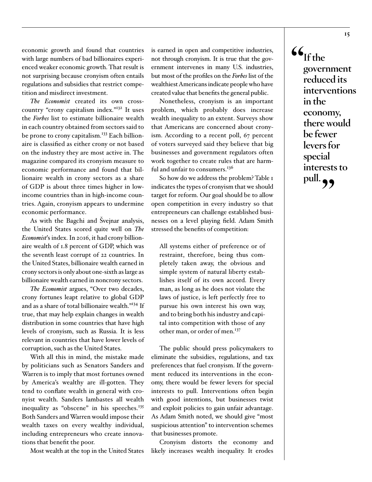economic growth and found that countries with large numbers of bad billionaires experienced weaker economic growth. That result is not surprising because cronyism often entails regulations and subsidies that restrict competition and misdirect investment.

*The Economist* created its own crosscountry "crony capitalism index."132 It uses the *Forbes* list to estimate billionaire wealth in each country obtained from sectors said to be prone to crony capitalism.<sup>133</sup> Each billionaire is classified as either crony or not based on the industry they are most active in. The magazine compared its cronyism measure to economic performance and found that billionaire wealth in crony sectors as a share of GDP is about three times higher in lowincome countries than in high-income countries. Again, cronyism appears to undermine economic performance.

As with the Bagchi and Švejnar analysis, the United States scored quite well on *The Economist*'s index. In 2016, it had crony billionaire wealth of 1.8 percent of GDP, which was the seventh least corrupt of 22 countries. In the United States, billionaire wealth earned in crony sectors is only about one-sixth as large as billionaire wealth earned in noncrony sectors.

*The Economist* argues, "Over two decades, crony fortunes leapt relative to global GDP and as a share of total billionaire wealth."134 If true, that may help explain changes in wealth distribution in some countries that have high levels of cronyism, such as Russia. It is less relevant in countries that have lower levels of corruption, such as the United States.

With all this in mind, the mistake made by politicians such as Senators Sanders and Warren is to imply that most fortunes owned by America's wealthy are ill-gotten. They tend to conflate wealth in general with cronyist wealth. Sanders lambastes all wealth inequality as "obscene" in his speeches.<sup>135</sup> Both Sanders and Warren would impose their wealth taxes on every wealthy individual, including entrepreneurs who create innovations that benefit the poor.

Most wealth at the top in the United States

is earned in open and competitive industries, not through cronyism. It is true that the government intervenes in many U.S. industries, but most of the profiles on the *Forbes* list of the wealthiest Americans indicate people who have created value that benefits the general public.

Nonetheless, cronyism is an important problem, which probably does increase wealth inequality to an extent. Surveys show that Americans are concerned about cronyism. According to a recent poll, 67 percent of voters surveyed said they believe that big businesses and government regulators often work together to create rules that are harmful and unfair to consumers.<sup>136</sup>

So how do we address the problem? Table 1 indicates the types of cronyism that we should target for reform. Our goal should be to allow open competition in every industry so that entrepreneurs can challenge established businesses on a level playing field. Adam Smith stressed the benefits of competition:

All systems either of preference or of restraint, therefore, being thus completely taken away, the obvious and simple system of natural liberty establishes itself of its own accord. Every man, as long as he does not violate the laws of justice, is left perfectly free to pursue his own interest his own way, and to bring both his industry and capital into competition with those of any other man, or order of men.<sup>137</sup>

The public should press policymakers to eliminate the subsidies, regulations, and tax preferences that fuel cronyism. If the government reduced its interventions in the economy, there would be fewer levers for special interests to pull. Interventions often begin with good intentions, but businesses twist and exploit policies to gain unfair advantage. As Adam Smith noted, we should give "most suspicious attention" to intervention schemes that businesses promote.

Cronyism distorts the economy and likely increases wealth inequality. It erodes **"If the government reduced its interventions in the economy, there would be fewer levers for special interests to**  pull.  $\bullet \bullet$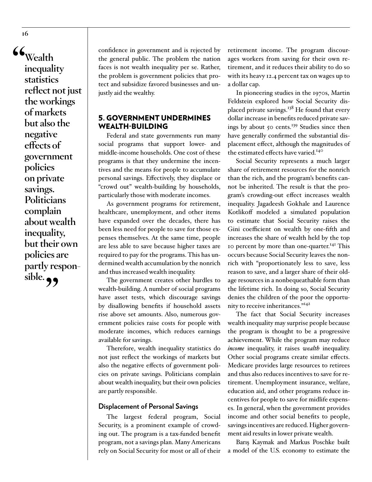**"Wealth inequality statistics reflect not just the workings of markets but also the negative effects of government policies on private savings. Politicians complain about wealth inequality, but their own policies are partly responsible.** 

confidence in government and is rejected by the general public. The problem the nation faces is not wealth inequality per se. Rather, the problem is government policies that protect and subsidize favored businesses and unjustly aid the wealthy.

## 5. GOVERNMENT UNDERMINES WEALTH-BUILDING

Federal and state governments run many social programs that support lower- and middle-income households. One cost of these programs is that they undermine the incentives and the means for people to accumulate personal savings. Effectively, they displace or "crowd out" wealth-building by households, particularly those with moderate incomes.

As government programs for retirement, healthcare, unemployment, and other items have expanded over the decades, there has been less need for people to save for those expenses themselves. At the same time, people are less able to save because higher taxes are required to pay for the programs. This has undermined wealth accumulation by the nonrich and thus increased wealth inequality.

The government creates other hurdles to wealth-building. A number of social programs have asset tests, which discourage savings by disallowing benefits if household assets rise above set amounts. Also, numerous government policies raise costs for people with moderate incomes, which reduces earnings available for savings.

Therefore, wealth inequality statistics do not just reflect the workings of markets but also the negative effects of government policies on private savings. Politicians complain about wealth inequality, but their own policies are partly responsible.

#### **Displacement of Personal Savings**

The largest federal program, Social Security, is a prominent example of crowding out. The program is a tax-funded benefit program, not a savings plan. Many Americans rely on Social Security for most or all of their

retirement income. The program discourages workers from saving for their own retirement, and it reduces their ability to do so with its heavy 12.4 percent tax on wages up to a dollar cap.

In pioneering studies in the 1970s, Martin Feldstein explored how Social Security displaced private savings.<sup>138</sup> He found that every dollar increase in benefits reduced private savings by about 50 cents.<sup>139</sup> Studies since then have generally confirmed the substantial displacement effect, although the magnitudes of the estimated effects have varied.<sup>140</sup>

Social Security represents a much larger share of retirement resources for the nonrich than the rich, and the program's benefits cannot be inherited. The result is that the program's crowding-out effect increases wealth inequality. Jagadeesh Gokhale and Laurence Kotlikoff modeled a simulated population to estimate that Social Security raises the Gini coefficient on wealth by one-fifth and increases the share of wealth held by the top 10 percent by more than one-quarter.<sup>141</sup> This occurs because Social Security leaves the nonrich with "proportionately less to save, less reason to save, and a larger share of their oldage resources in a nonbequeathable form than the lifetime rich. In doing so, Social Security denies the children of the poor the opportunity to receive inheritances."142

The fact that Social Security increases wealth inequality may surprise people because the program is thought to be a progressive achievement. While the program may reduce *income* inequality, it raises *wealth* inequality. Other social programs create similar effects. Medicare provides large resources to retirees and thus also reduces incentives to save for retirement. Unemployment insurance, welfare, education aid, and other programs reduce incentives for people to save for midlife expenses. In general, when the government provides income and other social benefits to people, savings incentives are reduced. Higher government aid results in lower private wealth.

Barış Kaymak and Markus Poschke built a model of the U.S. economy to estimate the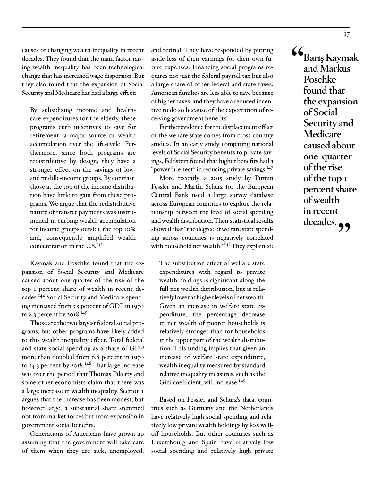causes of changing wealth inequality in recent decades. They found that the main factor raising wealth inequality has been technological change that has increased wage dispersion. But they also found that the expansion of Social Security and Medicare has had a large effect:

By subsidizing income and healthcare expenditures for the elderly, these programs curb incentives to save for retirement, a major source of wealth accumulation over the life-cycle. Furthermore, since both programs are redistributive by design, they have a stronger effect on the savings of lowand middle-income groups. By contrast, those at the top of the income distribution have little to gain from these programs. We argue that the redistributive nature of transfer payments was instrumental in curbing wealth accumulation for income groups outside the top 10% and, consequently, amplified wealth concentration in the  $U.S.<sup>143</sup>$ 

Kaymak and Poschke found that the expansion of Social Security and Medicare caused about one-quarter of the rise of the top 1 percent share of wealth in recent decades.144 Social Security and Medicare spending increased from 3.5 percent of GDP in 1970 to 8.3 percent by 2018.<sup>145</sup>

Those are the two largest federal social programs, but other programs have likely added to this wealth inequality effect. Total federal and state social spending as a share of GDP more than doubled from 6.8 percent in 1970 to 14.3 percent by 2018.<sup>146</sup> That large increase was over the period that Thomas Piketty and some other economists claim that there was a large increase in wealth inequality. Section 1 argues that the increase has been modest, but however large, a substantial share stemmed not from market forces but from expansion in government social benefits.

Generations of Americans have grown up assuming that the government will take care of them when they are sick, unemployed,

and retired. They have responded by putting aside less of their earnings for their own future expenses. Financing social programs requires not just the federal payroll tax but also a large share of other federal and state taxes. American families are less able to save because of higher taxes, and they have a reduced incentive to do so because of the expectation of receiving government benefits.

Further evidence for the displacement effect of the welfare state comes from cross-country studies. In an early study comparing national levels of Social Security benefits to private savings, Feldstein found that higher benefits had a "powerful effect" in reducing private savings.<sup>147</sup>

More recently, a 2015 study by Pirmin Fessler and Martin Schürz for the European Central Bank used a large survey database across European countries to explore the relationship between the level of social spending and wealth distribution. Their statistical results showed that "the degree of welfare state spending across countries is negatively correlated with household net wealth."<sup>148</sup> They explained:

The substitution effect of welfare state expenditures with regard to private wealth holdings is significant along the full net wealth distribution, but is relatively lower at higher levels of net wealth. Given an increase in welfare state expenditure, the percentage decrease in net wealth of poorer households is relatively stronger than for households in the upper part of the wealth distribution. This finding implies that given an increase of welfare state expenditure, wealth inequality measured by standard relative inequality measures, such as the Gini coefficient, will increase.<sup>149</sup>

Based on Fessler and Schürz's data, countries such as Germany and the Netherlands have relatively high social spending and relatively low private wealth holdings by less welloff households. But other countries such as Luxembourg and Spain have relatively low social spending and relatively high private **"Barış Kaymak and Markus Poschke found that the expansion of Social Security and Medicare caused about one-quarter of the rise of the top 1 percent share of wealth in recent**  decades.<sub>??</sub>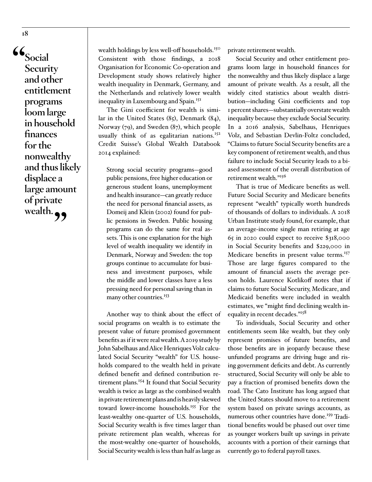**"Social Security and other entitlement programs loom large in household finances for the nonwealthy and thus likely displace a large amount of private**  wealth.

wealth holdings by less well-off households.<sup>150</sup> Consistent with those findings, a 2018 Organisation for Economic Co-operation and Development study shows relatively higher wealth inequality in Denmark, Germany, and the Netherlands and relatively lower wealth inequality in Luxembourg and Spain.<sup>151</sup>

The Gini coefficient for wealth is similar in the United States (85), Denmark (84), Norway (79), and Sweden (87), which people usually think of as egalitarian nations.<sup>152</sup> Credit Suisse's Global Wealth Databook 2014 explained:

Strong social security programs—good public pensions, free higher education or generous student loans, unemployment and health insurance—can greatly reduce the need for personal financial assets, as Domeij and Klein (2002) found for public pensions in Sweden. Public housing programs can do the same for real assets. This is one explanation for the high level of wealth inequality we identify in Denmark, Norway and Sweden: the top groups continue to accumulate for business and investment purposes, while the middle and lower classes have a less pressing need for personal saving than in many other countries.<sup>153</sup>

Another way to think about the effect of social programs on wealth is to estimate the present value of future promised government benefits as if it were real wealth. A 2019 study by John Sabelhaus and Alice Henriques Volz calculated Social Security "wealth" for U.S. households compared to the wealth held in private defined benefit and defined contribution retirement plans.<sup>154</sup> It found that Social Security wealth is twice as large as the combined wealth in private retirement plans and is heavily skewed toward lower-income households.155 For the least-wealthy one-quarter of U.S. households, Social Security wealth is five times larger than private retirement plan wealth, whereas for the most-wealthy one-quarter of households, Social Security wealth is less than half as large as

private retirement wealth.

Social Security and other entitlement programs loom large in household finances for the nonwealthy and thus likely displace a large amount of private wealth. As a result, all the widely cited statistics about wealth distribution—including Gini coefficients and top 1 percent shares—substantially overstate wealth inequality because they exclude Social Security. In a 2016 analysis, Sabelhaus, Henriques Volz, and Sebastian Devlin-Foltz concluded, "Claims to future Social Security benefits are a key component of retirement wealth, and thus failure to include Social Security leads to a biased assessment of the overall distribution of retirement wealth."<sup>156</sup>

That is true of Medicare benefits as well. Future Social Security and Medicare benefits represent "wealth" typically worth hundreds of thousands of dollars to individuals. A 2018 Urban Institute study found, for example, that an average-income single man retiring at age 65 in 2020 could expect to receive \$318,000 in Social Security benefits and \$229,000 in Medicare benefits in present value terms.<sup>157</sup> Those are large figures compared to the amount of financial assets the average person holds. Laurence Kotlikoff notes that if claims to future Social Security, Medicare, and Medicaid benefits were included in wealth estimates, we "might find declining wealth inequality in recent decades."158

To individuals, Social Security and other entitlements seem like wealth, but they only represent promises of future benefits, and those benefits are in jeopardy because these unfunded programs are driving huge and rising government deficits and debt. As currently structured, Social Security will only be able to pay a fraction of promised benefits down the road. The Cato Institute has long argued that the United States should move to a retirement system based on private savings accounts, as numerous other countries have done.<sup>159</sup> Traditional benefits would be phased out over time as younger workers built up savings in private accounts with a portion of their earnings that currently go to federal payroll taxes.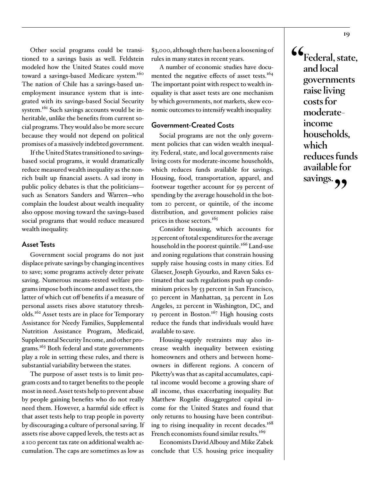Other social programs could be transitioned to a savings basis as well. Feldstein modeled how the United States could move toward a savings-based Medicare system.<sup>160</sup> The nation of Chile has a savings-based unemployment insurance system that is integrated with its savings-based Social Security system.<sup>161</sup> Such savings accounts would be inheritable, unlike the benefits from current social programs. They would also be more secure because they would not depend on political promises of a massively indebted government.

If the United States transitioned to savingsbased social programs, it would dramatically reduce measured wealth inequality as the nonrich built up financial assets. A sad irony in public policy debates is that the politicians such as Senators Sanders and Warren—who complain the loudest about wealth inequality also oppose moving toward the savings-based social programs that would reduce measured wealth inequality.

#### **Asset Tests**

Government social programs do not just displace private savings by changing incentives to save; some programs actively deter private saving. Numerous means-tested welfare programs impose both income and asset tests, the latter of which cut off benefits if a measure of personal assets rises above statutory thresholds.162 Asset tests are in place for Temporary Assistance for Needy Families, Supplemental Nutrition Assistance Program, Medicaid, Supplemental Security Income, and other programs.<sup>163</sup> Both federal and state governments play a role in setting these rules, and there is substantial variability between the states.

The purpose of asset tests is to limit program costs and to target benefits to the people most in need. Asset tests help to prevent abuse by people gaining benefits who do not really need them. However, a harmful side effect is that asset tests help to trap people in poverty by discouraging a culture of personal saving. If assets rise above capped levels, the tests act as a 100 percent tax rate on additional wealth accumulation. The caps are sometimes as low as \$3,000, although there has been a loosening of rules in many states in recent years.

A number of economic studies have documented the negative effects of asset tests.<sup>164</sup> The important point with respect to wealth inequality is that asset tests are one mechanism by which governments, not markets, skew economic outcomes to intensify wealth inequality.

#### **Government-Created Costs**

Social programs are not the only government policies that can widen wealth inequality. Federal, state, and local governments raise living costs for moderate-income households, which reduces funds available for savings. Housing, food, transportation, apparel, and footwear together account for 59 percent of spending by the average household in the bottom 20 percent, or quintile, of the income distribution, and government policies raise prices in those sectors.<sup>165</sup>

Consider housing, which accounts for 25 percent of total expenditures for the average household in the poorest quintile.<sup>166</sup> Land-use and zoning regulations that constrain housing supply raise housing costs in many cities. Ed Glaeser, Joseph Gyourko, and Raven Saks estimated that such regulations push up condominium prices by 53 percent in San Francisco, 50 percent in Manhattan, 34 percent in Los Angeles, 22 percent in Washington, DC, and 19 percent in Boston.<sup>167</sup> High housing costs reduce the funds that individuals would have available to save.

Housing-supply restraints may also increase wealth inequality between existing homeowners and others and between homeowners in different regions. A concern of Piketty's was that as capital accumulates, capital income would become a growing share of all income, thus exacerbating inequality. But Matthew Rognlie disaggregated capital income for the United States and found that only returns to housing have been contributing to rising inequality in recent decades.<sup>168</sup> French economists found similar results.<sup>169</sup>

Economists David Albouy and Mike Zabek conclude that U.S. housing price inequality **"Federal, state, and local governments raise living costs for moderateincome households, which reduces funds available for**  savings. **99**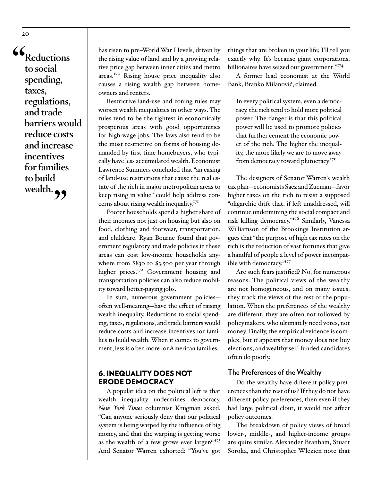**"Reductions to social spending, taxes, regulations, and trade barriers would reduce costs and increase incentives for families to build**  wealth.

has risen to pre–World War I levels, driven by the rising value of land and by a growing relative price gap between inner cities and metro areas.170 Rising house price inequality also causes a rising wealth gap between homeowners and renters.

Restrictive land-use and zoning rules may worsen wealth inequalities in other ways. The rules tend to be the tightest in economically prosperous areas with good opportunities for high-wage jobs. The laws also tend to be the most restrictive on forms of housing demanded by first-time homebuyers, who typically have less accumulated wealth. Economist Lawrence Summers concluded that "an easing of land-use restrictions that cause the real estate of the rich in major metropolitan areas to keep rising in value" could help address concerns about rising wealth inequality.<sup>171</sup>

Poorer households spend a higher share of their incomes not just on housing but also on food, clothing and footwear, transportation, and childcare. Ryan Bourne found that government regulatory and trade policies in these areas can cost low-income households anywhere from \$830 to \$3,500 per year through higher prices.<sup>172</sup> Government housing and transportation policies can also reduce mobility toward better-paying jobs.

In sum, numerous government policies often well-meaning—have the effect of raising wealth inequality. Reductions to social spending, taxes, regulations, and trade barriers would reduce costs and increase incentives for families to build wealth. When it comes to government, less is often more for American families.

#### 6. INEQUALITY DOES NOT ERODE DEMOCRACY

A popular idea on the political left is that wealth inequality undermines democracy. *New York Times* columnist Krugman asked, "Can anyone seriously deny that our political system is being warped by the influence of big money, and that the warping is getting worse as the wealth of a few grows ever larger?"173 And Senator Warren exhorted: "You've got

things that are broken in your life; I'll tell you exactly why. It's because giant corporations, billionaires have seized our government."<sup>174</sup>

A former lead economist at the World Bank, Branko Milanović, claimed:

In every political system, even a democracy, the rich tend to hold more political power. The danger is that this political power will be used to promote policies that further cement the economic power of the rich. The higher the inequality, the more likely we are to move away from democracy toward plutocracy.<sup>175</sup>

The designers of Senator Warren's wealth tax plan—economists Saez and Zucman—favor higher taxes on the rich to resist a supposed "oligarchic drift that, if left unaddressed, will continue undermining the social compact and risk killing democracy."176 Similarly, Vanessa Williamson of the Brookings Institution argues that "the purpose of high tax rates on the rich is the reduction of vast fortunes that give a handful of people a level of power incompatible with democracy."177

Are such fears justified? No, for numerous reasons. The political views of the wealthy are not homogeneous, and on many issues, they track the views of the rest of the population. When the preferences of the wealthy are different, they are often not followed by policymakers, who ultimately need votes, not money. Finally, the empirical evidence is complex, but it appears that money does not buy elections, and wealthy self-funded candidates often do poorly.

#### **The Preferences of the Wealthy**

Do the wealthy have different policy preferences than the rest of us? If they do not have different policy preferences, then even if they had large political clout, it would not affect policy outcomes.

The breakdown of policy views of broad lower-, middle-, and higher-income groups are quite similar. Alexander Branham, Stuart Soroka, and Christopher Wlezien note that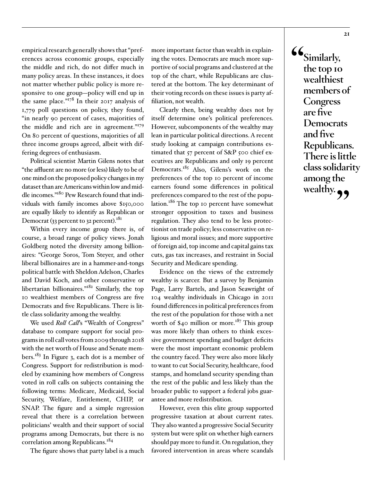empirical research generally shows that "preferences across economic groups, especially the middle and rich, do not differ much in many policy areas. In these instances, it does not matter whether public policy is more responsive to one group—policy will end up in the same place."178 In their 2017 analysis of 1,779 poll questions on policy, they found, "in nearly 90 percent of cases, majorities of the middle and rich are in agreement."<sup>179</sup> On 80 percent of questions, majorities of all three income groups agreed, albeit with differing degrees of enthusiasm.

Political scientist Martin Gilens notes that "the affluent are no more (or less) likely to be of one mind on the proposed policy changes in my dataset than are Americans within low and middle incomes."180 Pew Research found that individuals with family incomes above \$150,000 are equally likely to identify as Republican or Democrat (33 percent to 32 percent).<sup>181</sup>

Within every income group there is, of course, a broad range of policy views. Jonah Goldberg noted the diversity among billionaires: "George Soros, Tom Steyer, and other liberal billionaires are in a hammer-and-tongs political battle with Sheldon Adelson, Charles and David Koch, and other conservative or libertarian billionaires."182 Similarly, the top 10 wealthiest members of Congress are five Democrats and five Republicans. There is little class solidarity among the wealthy.

We used *Roll Call*'s "Wealth of Congress" database to compare support for social programs in roll call votes from 2009 through 2018 with the net worth of House and Senate members.<sup>183</sup> In Figure 3, each dot is a member of Congress. Support for redistribution is modeled by examining how members of Congress voted in roll calls on subjects containing the following terms: Medicare, Medicaid, Social Security, Welfare, Entitlement, CHIP, or SNAP. The figure and a simple regression reveal that there is a correlation between politicians' wealth and their support of social programs among Democrats, but there is no correlation among Republicans.<sup>184</sup>

The figure shows that party label is a much

more important factor than wealth in explaining the votes. Democrats are much more supportive of social programs and clustered at the top of the chart, while Republicans are clustered at the bottom. The key determinant of their voting records on these issues is party affiliation, not wealth.

Clearly then, being wealthy does not by itself determine one's political preferences. However, subcomponents of the wealthy may lean in particular political directions. A recent study looking at campaign contributions estimated that 57 percent of S&P 500 chief executives are Republicans and only 19 percent Democrats.<sup>185</sup> Also, Gilens's work on the preferences of the top 10 percent of income earners found some differences in political preferences compared to the rest of the population.<sup>186</sup> The top 10 percent have somewhat stronger opposition to taxes and business regulation. They also tend to be less protectionist on trade policy; less conservative on religious and moral issues; and more supportive of foreign aid, top income and capital gains tax cuts, gas tax increases, and restraint in Social Security and Medicare spending.

Evidence on the views of the extremely wealthy is scarcer. But a survey by Benjamin Page, Larry Bartels, and Jason Seawright of 104 wealthy individuals in Chicago in 2011 found differences in political preferences from the rest of the population for those with a net worth of  $$40$  million or more.<sup>187</sup> This group was more likely than others to think excessive government spending and budget deficits were the most important economic problem the country faced. They were also more likely to want to cut Social Security, healthcare, food stamps, and homeland security spending than the rest of the public and less likely than the broader public to support a federal jobs guarantee and more redistribution.

However, even this elite group supported progressive taxation at about current rates. They also wanted a progressive Social Security system but were split on whether high earners should pay more to fund it. On regulation, they favored intervention in areas where scandals **"Similarly, the top 10 wealthiest members of Congress are five Democrats and five Republicans. There is little class solidarity among the**  wealthy.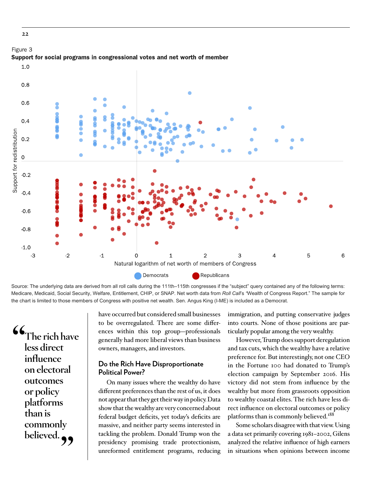

Figure 3 Support for social programs in congressional votes and net worth of member

Source: The underlying data are derived from all roll calls during the 111th–115th congresses if the "subject" query contained any of the following terms: Medicare, Medicaid, Social Security, Welfare, Entitlement, CHIP, or SNAP. Net worth data from *Roll Call*'s *"*Wealth of Congress Report." The sample for the chart is limited to those members of Congress with positive net wealth. Sen. Angus King (I-ME) is included as a Democrat.

**"The rich have less direct influence on electoral outcomes or policy platforms than is commonly**  believed.

have occurred but considered small businesses to be overregulated. There are some differences within this top group—professionals generally had more liberal views than business owners, managers, and investors.

#### **Do the Rich Have Disproportionate Political Power?**

On many issues where the wealthy do have different preferences than the rest of us, it does not appear that they get their way in policy. Data show that the wealthy are very concerned about federal budget deficits, yet today's deficits are massive, and neither party seems interested in tackling the problem. Donald Trump won the presidency promising trade protectionism, unreformed entitlement programs, reducing immigration, and putting conservative judges into courts. None of those positions are particularly popular among the very wealthy.

However, Trump does support deregulation and tax cuts, which the wealthy have a relative preference for. But interestingly, not one CEO in the Fortune 100 had donated to Trump's election campaign by September 2016. His victory did not stem from influence by the wealthy but more from grassroots opposition to wealthy coastal elites. The rich have less direct influence on electoral outcomes or policy platforms than is commonly believed.<sup>188</sup>

Some scholars disagree with that view. Using a data set primarily covering 1981–2002, Gilens analyzed the relative influence of high earners in situations when opinions between income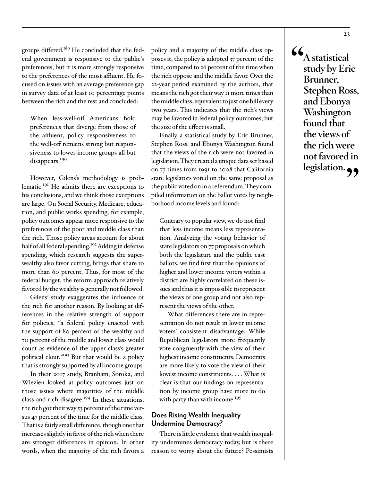groups differed.<sup>189</sup> He concluded that the federal government is responsive to the public's preferences, but it is more strongly responsive to the preferences of the most affluent. He focused on issues with an average preference gap in survey data of at least 10 percentage points between the rich and the rest and concluded:

When less-well-off Americans hold preferences that diverge from those of the affluent, policy responsiveness to the well-off remains strong but responsiveness to lower-income groups all but disappears.<sup>190</sup>

However, Gilens's methodology is problematic.191 He admits there are exceptions to his conclusions, and we think those exceptions are large. On Social Security, Medicare, education, and public works spending, for example, policy outcomes appear more responsive to the preferences of the poor and middle class than the rich. Those policy areas account for about half of all federal spending.<sup>192</sup> Adding in defense spending, which research suggests the superwealthy also favor cutting, brings that share to more than 60 percent. Thus, for most of the federal budget, the reform approach relatively favored by the wealthy is generally not followed.

Gilens' study exaggerates the influence of the rich for another reason. By looking at differences in the relative strength of support for policies, "a federal policy enacted with the support of 80 percent of the wealthy and 70 percent of the middle and lower class would count as evidence of the upper class's greater political clout."193 But that would be a policy that is strongly supported by all income groups.

In their 2017 study, Branham, Soroka, and Wlezien looked at policy outcomes just on those issues where majorities of the middle class and rich disagree.<sup>194</sup> In these situations, the rich got their way 53 percent of the time versus 47 percent of the time for the middle class. That is a fairly small difference, though one that increases slightly in favor of the rich when there are stronger differences in opinion. In other words, when the majority of the rich favors a

policy and a majority of the middle class opposes it, the policy is adopted 37 percent of the time, compared to 26 percent of the time when the rich oppose and the middle favor. Over the 22-year period examined by the authors, that means the rich got their way 11 more times than the middle class, equivalent to just one bill every two years. This indicates that the rich's views may be favored in federal policy outcomes, but the size of the effect is small.

Finally, a statistical study by Eric Brunner, Stephen Ross, and Ebonya Washington found that the views of the rich were not favored in legislation. They created a unique data set based on 77 times from 1991 to 2008 that California state legislators voted on the same proposal as the public voted on in a referendum. They compiled information on the ballot votes by neighborhood income levels and found:

Contrary to popular view, we do not find that less income means less representation. Analyzing the voting behavior of state legislators on 77 proposals on which both the legislature and the public cast ballots, we find first that the opinions of higher and lower income voters within a district are highly correlated on these issues and thus it is impossible to represent the views of one group and not also represent the views of the other.

What differences there are in representation do not result in lower income voters' consistent disadvantage. While Republican legislators more frequently vote congruently with the view of their highest income constituents, Democrats are more likely to vote the view of their lowest income constituents. . . . What is clear is that our findings on representation by income group have more to do with party than with income.<sup>195</sup>

#### **Does Rising Wealth Inequality Undermine Democracy?**

There is little evidence that wealth inequality undermines democracy today, but is there reason to worry about the future? Pessimists **"A statistical study by Eric Brunner, Stephen Ross, and Ebonya Washington found that the views of the rich were not favored in legislation."**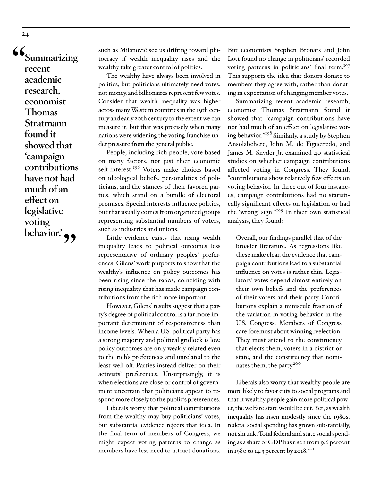**"Summarizing recent academic research, economist Thomas Stratmann found it showed that 'campaign contributions have not had much of an effect on legislative voting**  behavior.<sup>'</sup> ,

such as Milanović see us drifting toward plutocracy if wealth inequality rises and the wealthy take greater control of politics.

The wealthy have always been involved in politics, but politicians ultimately need votes, not money, and billionaires represent few votes. Consider that wealth inequality was higher across many Western countries in the 19th century and early 20th century to the extent we can measure it, but that was precisely when many nations were widening the voting franchise under pressure from the general public.

People, including rich people, vote based on many factors, not just their economic self-interest.<sup>196</sup> Voters make choices based on ideological beliefs, personalities of politicians, and the stances of their favored parties, which stand on a bundle of electoral promises. Special interests influence politics, but that usually comes from organized groups representing substantial numbers of voters, such as industries and unions.

Little evidence exists that rising wealth inequality leads to political outcomes less representative of ordinary peoples' preferences. Gilens' work purports to show that the wealthy's influence on policy outcomes has been rising since the 1960s, coinciding with rising inequality that has made campaign contributions from the rich more important.

However, Gilens' results suggest that a party's degree of political control is a far more important determinant of responsiveness than income levels. When a U.S. political party has a strong majority and political gridlock is low, policy outcomes are only weakly related even to the rich's preferences and unrelated to the least well-off. Parties instead deliver on their activists' preferences. Unsurprisingly, it is when elections are close or control of government uncertain that politicians appear to respond more closely to the public's preferences.

Liberals worry that political contributions from the wealthy may buy politicians' votes, but substantial evidence rejects that idea. In the final term of members of Congress, we might expect voting patterns to change as members have less need to attract donations.

But economists Stephen Bronars and John Lott found no change in politicians' recorded voting patterns in politicians' final term.<sup>197</sup> This supports the idea that donors donate to members they agree with, rather than donating in expectation of changing member votes.

Summarizing recent academic research, economist Thomas Stratmann found it showed that "campaign contributions have not had much of an effect on legislative voting behavior."198 Similarly, a study by Stephen Ansolabehere, John M. de Figueiredo, and James M. Snyder Jr. examined 40 statistical studies on whether campaign contributions affected voting in Congress. They found, "contributions show relatively few effects on voting behavior. In three out of four instances, campaign contributions had no statistically significant effects on legislation or had the 'wrong' sign."199 In their own statistical analysis, they found:

Overall, our findings parallel that of the broader literature. As regressions like these make clear, the evidence that campaign contributions lead to a substantial influence on votes is rather thin. Legislators' votes depend almost entirely on their own beliefs and the preferences of their voters and their party. Contributions explain a miniscule fraction of the variation in voting behavior in the U.S. Congress. Members of Congress care foremost about winning reelection. They must attend to the constituency that elects them, voters in a district or state, and the constituency that nominates them, the party.200

Liberals also worry that wealthy people are more likely to favor cuts to social programs and that if wealthy people gain more political power, the welfare state would be cut. Yet, as wealth inequality has risen modestly since the 1980s, federal social spending has grown substantially, not shrunk. Total federal and state social spending as a share of GDP has risen from 9.6 percent in 1980 to 14.3 percent by 2018.<sup>201</sup>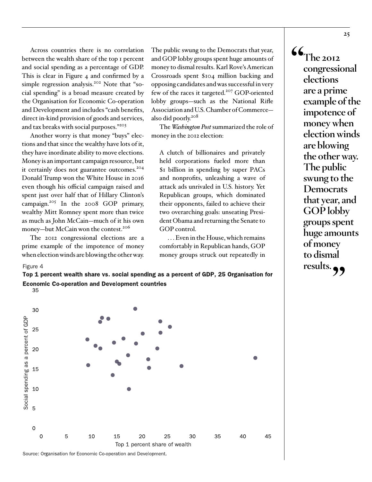Across countries there is no correlation between the wealth share of the top 1 percent and social spending as a percentage of GDP. This is clear in Figure 4 and confirmed by a simple regression analysis.<sup>202</sup> Note that "social spending" is a broad measure created by the Organisation for Economic Co-operation and Development and includes "cash benefits, direct in-kind provision of goods and services, and tax breaks with social purposes."<sup>203</sup>

Another worry is that money "buys" elections and that since the wealthy have lots of it, they have inordinate ability to move elections. Money is an important campaign resource, but it certainly does not guarantee outcomes.<sup>204</sup> Donald Trump won the White House in 2016 even though his official campaign raised and spent just over half that of Hillary Clinton's campaign.<sup>205</sup> In the 2008 GOP primary, wealthy Mitt Romney spent more than twice as much as John McCain—much of it his own money-but McCain won the contest.<sup>206</sup>

The 2012 congressional elections are a prime example of the impotence of money when election winds are blowing the other way.

35

Figure 4

The public swung to the Democrats that year, and GOP lobby groups spent huge amounts of money to dismal results. Karl Rove's American Crossroads spent \$104 million backing and opposing candidates and was successful in very few of the races it targeted.<sup>207</sup> GOP-oriented lobby groups—such as the National Rifle Association and U.S. Chamber of Commerce also did poorly.<sup>208</sup>

The *Washington Post* summarized the role of money in the 2012 election:

A clutch of billionaires and privately held corporations fueled more than \$1 billion in spending by super PACs and nonprofits, unleashing a wave of attack ads unrivaled in U.S. history. Yet Republican groups, which dominated their opponents, failed to achieve their two overarching goals: unseating President Obama and returning the Senate to GOP control.

. . . Even in the House, which remains comfortably in Republican hands, GOP money groups struck out repeatedly in  $\mathbf{G}_{\text{The 2012}}$ **congressional elections are a prime example of the impotence of money when election winds are blowing the other way. The public swung to the Democrats that year, and GOP lobby groups spent huge amounts of money to dismal results."**

Top 1 percent wealth share vs. social spending as a percent of GDP, 25 Organisation for Economic Co-operation and Development countries



Source: Organisation for Economic Co-operation and Development.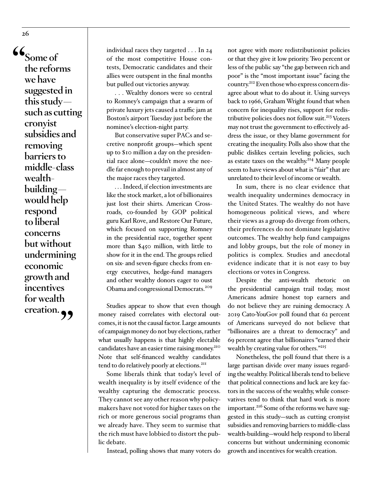**"Some of the reforms we have suggested in this study such as cutting cronyist subsidies and removing barriers to middle-class wealthbuilding would help respond to liberal concerns but without undermining economic growth and incentives for wealth creation."**

individual races they targeted . . . In 24 of the most competitive House contests, Democratic candidates and their allies were outspent in the final months but pulled out victories anyway.

. . . Wealthy donors were so central to Romney's campaign that a swarm of private luxury jets caused a traffic jam at Boston's airport Tuesday just before the nominee's election-night party.

But conservative super PACs and secretive nonprofit groups—which spent up to \$10 million a day on the presidential race alone—couldn't move the needle far enough to prevail in almost any of the major races they targeted.

. . . Indeed, if election investments are like the stock market, a lot of billionaires just lost their shirts. American Crossroads, co-founded by GOP political guru Karl Rove, and Restore Our Future, which focused on supporting Romney in the presidential race, together spent more than \$450 million, with little to show for it in the end. The groups relied on six- and seven-figure checks from energy executives, hedge-fund managers and other wealthy donors eager to oust Obama and congressional Democrats.209

Studies appear to show that even though money raised correlates with electoral outcomes, it is not the causal factor. Large amounts of campaign money do not buy elections, rather what usually happens is that highly electable candidates have an easier time raising money.<sup>210</sup> Note that self-financed wealthy candidates tend to do relatively poorly at elections.<sup>211</sup>

Some liberals think that today's level of wealth inequality is by itself evidence of the wealthy capturing the democratic process. They cannot see any other reason why policymakers have not voted for higher taxes on the rich or more generous social programs than we already have. They seem to surmise that the rich must have lobbied to distort the public debate.

Instead, polling shows that many voters do

not agree with more redistributionist policies or that they give it low priority. Two percent or less of the public say "the gap between rich and poor" is the "most important issue" facing the country.212 Even those who express concern disagree about what to do about it. Using surveys back to 1966, Graham Wright found that when concern for inequality rises, support for redistributive policies does not follow suit.<sup>213</sup> Voters may not trust the government to effectively address the issue, or they blame government for creating the inequality. Polls also show that the public dislikes certain leveling policies, such as estate taxes on the wealthy.<sup>214</sup> Many people seem to have views about what is "fair" that are unrelated to their level of income or wealth.

In sum, there is no clear evidence that wealth inequality undermines democracy in the United States. The wealthy do not have homogeneous political views, and where their views as a group do diverge from others, their preferences do not dominate legislative outcomes. The wealthy help fund campaigns and lobby groups, but the role of money in politics is complex. Studies and anecdotal evidence indicate that it is not easy to buy elections or votes in Congress.

Despite the anti-wealth rhetoric on the presidential campaign trail today, most Americans admire honest top earners and do not believe they are ruining democracy. A 2019 Cato-YouGov poll found that 62 percent of Americans surveyed do not believe that "billionaires are a threat to democracy" and 69 percent agree that billionaires "earned their wealth by creating value for others."<sup>215</sup>

Nonetheless, the poll found that there is a large partisan divide over many issues regarding the wealthy. Political liberals tend to believe that political connections and luck are key factors in the success of the wealthy, while conservatives tend to think that hard work is more important.<sup>216</sup> Some of the reforms we have suggested in this study—such as cutting cronyist subsidies and removing barriers to middle-class wealth-building—would help respond to liberal concerns but without undermining economic growth and incentives for wealth creation.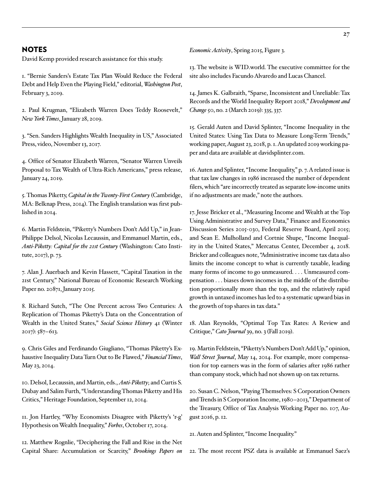#### NOTES

David Kemp provided research assistance for this study.

1. "Bernie Sanders's Estate Tax Plan Would Reduce the Federal Debt and Help Even the Playing Field," editorial, *Washington Post*, February 3, 2019.

2. Paul Krugman, "Elizabeth Warren Does Teddy Roosevelt," *New York Times*, January 28, 2019.

3. "Sen. Sanders Highlights Wealth Inequality in US," Associated Press, video, November 13, 2017.

4. Office of Senator Elizabeth Warren, "Senator Warren Unveils Proposal to Tax Wealth of Ultra-Rich Americans," press release, January 24, 2019.

5. Thomas Piketty, *Capital in the Twenty-First Century* (Cambridge, MA: Belknap Press, 2014). The English translation was first published in 2014.

6. Martin Feldstein, "Piketty's Numbers Don't Add Up," in Jean-Philippe Delsol, Nicolas Lecaussin, and Emmanuel Martin, eds., *[Anti-Piketty: Capital for the 21st Century](https://www.cato.org/anti-piketty-free-ebook)* (Washington: Cato Institute, 2017), p. 73.

7. Alan J. Auerbach and Kevin Hassett, "Capital Taxation in the 21st Century," National Bureau of Economic Research Working Paper no. 20871, January 2015.

8. Richard Sutch, "The One Percent across Two Centuries: A Replication of Thomas Piketty's Data on the Concentration of Wealth in the United States," *Social Science History* 41 (Winter 2017): 587–613.

9. Chris Giles and Ferdinando Giugliano, "Thomas Piketty's Exhaustive Inequality Data Turn Out to Be Flawed," *Financial Times*, May 23, 2014.

10. Delsol, Lecaussin, and Martin, eds., *[Anti-Piketty](https://www.cato.org/anti-piketty-free-ebook)*; and Curtis S. Dubay and Salim Furth, "Understanding Thomas Piketty and His Critics," Heritage Foundation, September 12, 2014.

11. Jon Hartley, "Why Economists Disagree with Piketty's 'r-g' Hypothesis on Wealth Inequality," *Forbes*, October 17, 2014.

12. Matthew Rognlie, "Deciphering the Fall and Rise in the Net Capital Share: Accumulation or Scarcity," *Brookings Papers on* 

*Economic Activity*, Spring 2015, Figure 3.

13. The website is WI[D.world](http://wid.world). The executive committee for the site also includes Facundo Alvaredo and Lucas Chancel.

14. James K. Galbraith, "Sparse, Inconsistent and Unreliable: Tax Records and the World Inequality Report 2018," *Development and Change* 50, no. 2 (March 2019): 335, 337.

15. Gerald Auten and David Splinter, "Income Inequality in the United States: Using Tax Data to Measure Long-Term Trends," working paper, August 23, 2018, p. 1. An updated 2019 working paper and data are available at [davidsplinter.com](http://davidsplinter.com).

16. Auten and Splinter, "Income Inequality," p. 7. A related issue is that tax law changes in 1986 increased the number of dependent filers, which "are incorrectly treated as separate low-income units if no adjustments are made," note the authors.

17. Jesse Bricker et al., "Measuring Income and Wealth at the Top Using Administrative and Survey Data," Finance and Economics Discussion Series 2015-030, Federal Reserve Board, April 2015; and Sean E. Mulholland and Cortnie Shupe, "Income Inequality in the United States," Mercatus Center, December 4, 2018. Bricker and colleagues note, "Administrative income tax data also limits the income concept to what is currently taxable, leading many forms of income to go unmeasured. . . . Unmeasured compensation . . . biases down incomes in the middle of the distribution proportionally more than the top, and the relatively rapid growth in untaxed incomes has led to a systematic upward bias in the growth of top shares in tax data."

18. Alan Reynolds, ["Optimal Top Tax Rates: A Review and](https://www.cato.org/publications/cato-journal/optimal-top-tax-rates-review-critique)  [Critique,](https://www.cato.org/publications/cato-journal/optimal-top-tax-rates-review-critique)" *Cato Journal* 39, no. 3 (Fall 2019).

19. Martin Feldstein, "Piketty's Numbers Don't Add Up," opinion, *Wall Street Journal*, May 14, 2014. For example, more compensation for top earners was in the form of salaries after 1986 rather than company stock, which had not shown up on tax returns.

20. Susan C. Nelson, "Paying Themselves: S Corporation Owners and Trends in S Corporation Income, 1980–2013," Department of the Treasury, Office of Tax Analysis Working Paper no. 107, August 2016, p. 12.

21. Auten and Splinter, "Income Inequality."

22. The most recent PSZ data is available at Emmanuel Saez's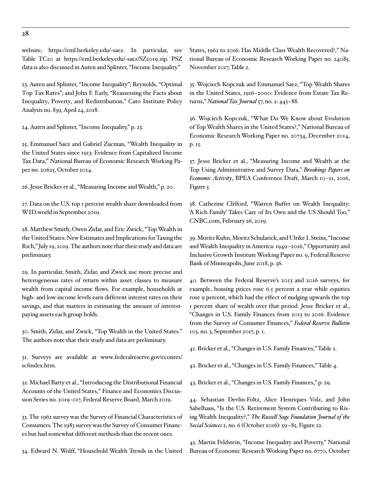website, [https://eml.berkeley.edu/~saez.](https://eml.berkeley.edu/~saez) In particular, see Table TC10 at [https://eml.berkeley.edu/~saez/SZ2019.zip.](https://eml.berkeley.edu/~saez/SZ2019.zip) PSZ data is also discussed in Auten and Splinter, "Income Inequality."

23. Auten and Splinter, "Income Inequality"; Reynolds, ["Optimal](https://www.cato.org/publications/cato-journal/optimal-top-tax-rates-review-critique) [Top Tax Rate](https://www.cato.org/publications/cato-journal/optimal-top-tax-rates-review-critique)s"; and John F. Early, "[Reassessing the Facts about](https://www.cato.org/publications/policy-analysis/reassessing-facts-about-inequality-poverty-redistribution) [Inequality, Poverty, and Redistribution,](https://www.cato.org/publications/policy-analysis/reassessing-facts-about-inequality-poverty-redistribution)" Cato Institute Policy Analysis no. 839, April 24, 2018.

24. Auten and Splinter, "Income Inequality," p. 23.

25. Emmanuel Saez and Gabriel Zucman, "Wealth Inequality in the United States since 1913: Evidence from Capitalized Income Tax Data," National Bureau of Economic Research Working Paper no. 20625, October 2014.

26. Jesse Bricker et al., "Measuring Income and Wealth," p. 20.

27. Data on the U.S. top 1 percent wealth share downloaded from [WID.world](http://WID.world) in September 2019.

28. Matthew Smith, Owen Zidar, and Eric Zwick, "Top Wealth in the United States: New Estimates and Implications for Taxing the Rich," July 19, 2019. The authors note that their study and data are preliminary.

29. In particular, Smith, Zidar, and Zwick use more precise and heterogeneous rates of return within asset classes to measure wealth from capital income flows. For example, households at high- and low-income levels earn different interest rates on their savings, and that matters in estimating the amount of interestpaying assets each group holds.

30. Smith, Zidar, and Zwick, "Top Wealth in the United States." The authors note that their study and data are preliminary.

31. Surveys are available at [www.federalreserve.gov/econres/](http://www.federalreserve.gov/econres/scfindex.htm) [scfindex.htm.](http://www.federalreserve.gov/econres/scfindex.htm)

32. Michael Batty et al., "Introducing the Distributional Financial Accounts of the United States," Finance and Economics Discussion Series no. 2019-017, Federal Reserve Board, March 2019.

33. The 1962 survey was the Survey of Financial Characteristics of Consumers. The 1983 survey was the Survey of Consumer Finances but had somewhat different methods than the recent ones.

34. Edward N. Wolff, "Household Wealth Trends in the United

States, 1962 to 2016: Has Middle Class Wealth Recovered?," National Bureau of Economic Research Working Paper no. 24085, November 2017, Table 2.

35. Wojciech Kopczuk and Emmanuel Saez, "Top Wealth Shares in the United States, 1916–2000: Evidence from Estate Tax Returns," *National Tax Journal* 57, no. 2: 445–88.

36. Wojciech Kopczuk, "What Do We Know about Evolution of Top Wealth Shares in the United States?," National Bureau of Economic Research Working Paper no. 20734, December 2014, p. 15.

37. Jesse Bricker et al., "Measuring Income and Wealth at the Top Using Administrative and Survey Data," *Brookings Papers on Economic Activity*, BPEA Conference Draft, March 10–11, 2016, Figure 5.

38. Catherine Clifford, "Warren Buffet on Wealth Inequality: 'A Rich Family' Takes Care of Its Own and the US Should Too," CNBC.com, February 26, 2019.

39. Moritz Kuhn, Moritz Schularick, and Ulrike I. Steins, "Income and Wealth Inequality in America: 1949–2016," Opportunity and Inclusive Growth Institute Working Paper no. 9, Federal Reserve Bank of Minneapolis, June 2018, p. 36.

40. Between the Federal Reserve's 2013 and 2016 surveys, for example, housing prices rose 6.5 percent a year while equities rose 9 percent, which had the effect of nudging upwards the top 1 percent share of wealth over that period. Jesse Bricker et al., "Changes in U.S. Family Finances from 2013 to 2016: Evidence from the Survey of Consumer Finances," *Federal Reserve Bulletin* 103, no. 3, September 2017, p. 1.

41. Bricker et al., "Changes in U.S. Family Finances," Table 2.

42. Bricker et al., "Changes in U.S. Family Finances," Table 4.

43. Bricker et al., "Changes in U.S. Family Finances," p. 29.

44. Sebastian Devlin-Foltz, Alice Henriques Volz, and John Sabelhaus, "Is the U.S. Retirement System Contributing to Rising Wealth Inequality?," *The Russell Sage Foundation Journal of the Social Sciences* 2, no. 6 (October 2016): 59–85, Figure 22.

45. Martin Feldstein, "Income Inequality and Poverty," National Bureau of Economic Research Working Paper no. 6770, October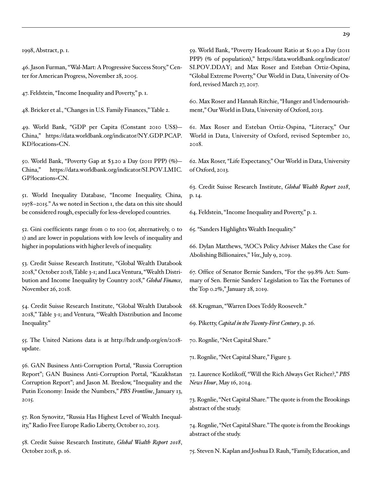1998, Abstract, p. 1.

46. Jason Furman, "Wal-Mart: A Progressive Success Story," Center for American Progress, November 28, 2005.

47. Feldstein, "Income Inequality and Poverty," p. 1.

48. Bricker et al., "Changes in U.S. Family Finances," Table 2.

49. World Bank, "GDP per Capita (Constant 2010 US\$)— China," [https://data.worldbank.org/indicator/NY.GDP.PCAP.](https://data.worldbank.org/indicator/NY.GDP.PCAP.KD?locations=CN) [KD?locations=CN.](https://data.worldbank.org/indicator/NY.GDP.PCAP.KD?locations=CN)

50. World Bank, "Poverty Gap at \$3.20 a Day (2011 PPP) (%)— China," [https://data.worldbank.org/indicator/SI.POV.LMIC.](https://data.worldbank.org/indicator/SI.POV.LMIC.GP?locations=CN) [GP?locations=CN.](https://data.worldbank.org/indicator/SI.POV.LMIC.GP?locations=CN)

51. [World](https://wid.world/country/china/) Inequality Database, "Income Inequality, China, 1978–2015." As we noted in Section 1, the data on this site should be considered rough, especially for less-developed countries.

52. Gini coefficients range from 0 to 100 (or, alternatively, 0 to 1) and are lower in populations with low levels of inequality and higher in populations with higher levels of inequality.

53. Credit Suisse Research Institute, "Global Wealth Databook 2018," October 2018, Table 3-1; and Luca Ventura, "Wealth Distribution and Income Inequality by Country 2018," *Global Finance*, November 26, 2018.

54. Credit Suisse Research Institute, "Global Wealth Databook 2018," Table 3-1; and Ventura, "Wealth Distribution and Income Inequality."

55. The United Nations data is at [http://hdr.undp.org/en/2018](http://hdr.undp.org/en/2018-update) [update](http://hdr.undp.org/en/2018-update).

56. GAN Business Anti-Corruption Portal, "Russia Corruption Report"; GAN Business Anti-Corruption Portal, "Kazakhstan Corruption Report"; and Jason M. Breslow, "Inequality and the Putin Economy: Inside the Numbers," *PBS Frontline*, January 13, 2015.

57. Ron Synovitz, "Russia Has Highest Level of Wealth Inequality," Radio Free Europe Radio Liberty, October 10, 2013.

58. Credit Suisse Research Institute, *Global Wealth Report 2018*, October 2018, p. 16.

59. World Bank, "Poverty Headcount Ratio at \$1.90 a Day (2011 PPP) (% of population)," [https://data.worldbank.org/indicator/](https://data.worldbank.org/indicator/SI.POV.DDAY) [SI.POV.DDAY](https://data.worldbank.org/indicator/SI.POV.DDAY); and Max Roser and Esteban Ortiz-Ospina, "Global Extreme Poverty," Our World in Data, University of Oxford, revised March 27, 2017.

60. Max Roser and Hannah Ritchie, "Hunger and Undernourishment," Our World in Data, University of Oxford, 2013.

61. Max Roser and Esteban Ortiz-Ospina, "Literacy," Our World in Data, University of Oxford, revised September 20, 2018.

62. Max Roser, "Life Expectancy," Our World in Data, University of Oxford, 2013.

63. Credit Suisse Research Institute, *Global Wealth Report 2018*, p. 14.

64. Feldstein, "Income Inequality and Poverty," p. 2.

65. "Sanders Highlights Wealth Inequality."

66. Dylan Matthews, "AOC's Policy Adviser Makes the Case for Abolishing Billionaires," *Vox*, July 9, 2019.

67. Office of Senator Bernie Sanders, "For the 99.8% Act: Summary of Sen. Bernie Sanders' Legislation to Tax the Fortunes of the Top 0.2%," January 28, 2019.

68. Krugman, "Warren Does Teddy Roosevelt."

69. Piketty, *Capital in the Twenty-First Century*, p. 26.

70. Rognlie, "Net Capital Share."

71. Rognlie, "Net Capital Share," Figure 3.

72. Laurence Kotlikoff, "Will the Rich Always Get Richer?," *PBS News Hour*, May 16, 2014.

73. Rognlie, "Net Capital Share." The quote is from the Brookings abstract of the study.

74. Rognlie, "Net Capital Share." The quote is from the Brookings abstract of the study.

75. Steven N. Kaplan and Joshua D. Rauh, "Family, Education, and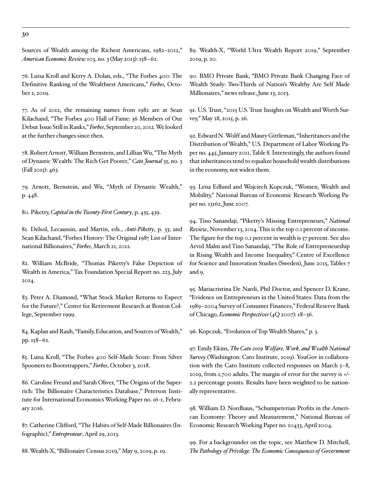Sources of Wealth among the Richest Americans, 1982–2012," *American Economic Review* 103, no. 3 (May 2013): 158–62.

76. Luisa Kroll and Kerry A. Dolan, eds., "The Forbes 400: The Definitive Ranking of the Wealthiest Americans," *Forbes*, October 2, 2019.

77. As of 2012, the remaining names from 1982 are at Sean Kilachand, "The Forbes 400 Hall of Fame: 36 Members of Our Debut Issue Still in Ranks," *Forbes*, September 20, 2012. We looked at the further changes since then.

78. Robert Arnott, William Bernstein, and Lillian Wu, ["The Myth](https://www.cato.org/sites/cato.org/files/serials/files/cato-journal/2015/9/cj-v35n3-1_0.pdf)  [of Dynastic Wealth: The Rich Get Poorer](https://www.cato.org/sites/cato.org/files/serials/files/cato-journal/2015/9/cj-v35n3-1_0.pdf)," *Cato Journal* 35, no. 3 (Fall 2015): 463.

79. Arnott, Bernstein, and Wu, "[Myth of Dynastic Wealth,](https://www.cato.org/sites/cato.org/files/serials/files/cato-journal/2015/9/cj-v35n3-1_0.pdf)" p. 448.

80. Piketty, *Capital in the Twenty-First Century*, p. 435, 439.

81. Delsol, Lecaussin, and Martin, eds., *[Anti-Piketty](https://www.cato.org/anti-piketty-free-ebook)*, p. 33; and Sean Kilachand, "Forbes History: The Original 1987 List of International Billionaires," *Forbes*, March 21, 2012.

82. William McBride, "Thomas Piketty's False Depiction of Wealth in America," Tax Foundation Special Report no. 223, July 2014.

83. Peter A. Diamond, "What Stock Market Returns to Expect for the Future?," Center for Retirement Research at Boston College, September 1999.

84. Kaplan and Rauh, "Family, Education, and Sources of Wealth," pp. 158–62.

85. Luisa Kroll, "The Forbes 400 Self-Made Score: From Silver Spooners to Bootstrappers," *Forbes*, October 3, 2018.

86. Caroline Freund and Sarah Oliver, "The Origins of the Superrich: The Billionaire Characteristics Database," Peterson Institute for International Economics Working Paper no. 16-1, February 2016.

87. Catherine Clifford, "The Habits of Self-Made Billionaires (Infographic)," *Entrepreneur*, April 29, 2013.

88. Wealth-X, "Billionaire Census 2019," May 9, 2019, p. 19.

89. Wealth-X, "World Ultra Wealth Report 2019," September 2019, p. 20.

90. BMO Private Bank, "BMO Private Bank Changing Face of Wealth Study: Two-Thirds of Nation's Wealthy Are Self Made Millionaires," news release, June 13, 2013.

91. U.S. Trust, "2015 U.S. Trust Insights on Wealth and Worth Survey," May 28, 2015, p. 26.

92. Edward N. Wolff and Maury Gittleman, "Inheritances and the Distribution of Wealth," U.S. Department of Labor Working Paper no. 445, January 2011, Table 8. Interestingly, the authors found that inheritances tend to equalize household wealth distributions in the economy, not widen them.

93. Lena Edlund and Wojciech Kopczuk, "Women, Wealth and Mobility," National Bureau of Economic Research Working Paper no. 13162, June 2007.

94. Tino Sanandaji, "Piketty's Missing Entrepreneurs," *National Review*, November 13, 2014. This is the top 0.1 percent of income. The figure for the top 0.1 percent in wealth is 57 percent. See also Arvid Malm and Tino Sanandaji, "The Role of Entrepreneurship in Rising Wealth and Income Inequality," Centre of Excellence for Science and Innovation Studies (Sweden), June 2015, Tables 7 and 9.

95. Mariacristina De Nardi, Phil Doctor, and Spencer D. Krane, "Evidence on Entrepreneurs in the United States: Data from the 1989–2004 Survey of Consumer Finances," Federal Reserve Bank of Chicago, *Economic Perspectives* (4Q 2007): 18–36.

96. Kopczuk, "Evolution of Top Wealth Shares," p. 3.

97. Emily Ekins, *[The Cato 2019 Welfare, Work, and Wealth National](https://www.cato.org/sites/cato.org/files/2019-09/Cato2019WelfareWorkWealthSurveyReport%20%281%29.pdf) [Survey](https://www.cato.org/sites/cato.org/files/2019-09/Cato2019WelfareWorkWealthSurveyReport%20%281%29.pdf)* (Washington: Cato Institute, 2019). YouGov in collaboration with the Cato Institute collected responses on March  $5-8$ , 2019, from 1,700 adults. The margin of error for the survey is +/- 2.2 percentage points. Results have been weighted to be nationally representative.

98. William D. Nordhaus, "Schumpeterian Profits in the American Economy: Theory and Measurement," National Bureau of Economic Research Working Paper no. 10433, April 2004.

99. For a backgrounder on the topic, see Matthew D. Mitchell, *The Pathology of Privilege: The Economic Consequences of Government*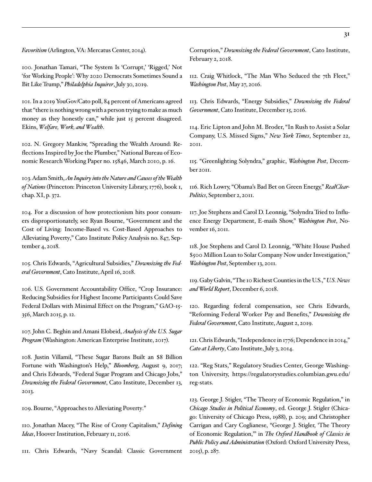*Favoritism* (Arlington, VA: Mercatus Center, 2014).

100. Jonathan Tamari, "The System Is 'Corrupt,' 'Rigged,' Not 'for Working People': Why 2020 Democrats Sometimes Sound a Bit Like Trump," *Philadelphia Inquirer*, July 30, 2019.

101. In a 2019 YouGov/Cato poll, 84 percent of Americans agreed that "there is nothing wrong with a person trying to make as much money as they honestly can," while just 15 percent disagreed. Ekins, *[Welfare, Work, and Wealth](https://www.cato.org/sites/cato.org/files/2019-09/Cato2019WelfareWorkWealthSurveyReport%20%281%29.pdf)*.

102. N. Gregory Mankiw, "Spreading the Wealth Around: Reflections Inspired by Joe the Plumber," National Bureau of Economic Research Working Paper no. 15846, March 2010, p. 16.

103. Adam Smith, *An Inquiry into the Nature and Causes of the Wealth of Nations* (Princeton: Princeton University Library, 1776), book 1, chap. XI, p. 372.

104. For a discussion of how protectionism hits poor consumers disproportionately, see Ryan Bourne, "[Government and the](https://www.cato.org/publications/policy-analysis/government-cost-living-income-based-vs-cost-based-approaches) [Cost of Living: Income-Based vs. Cost-Based Approaches to](https://www.cato.org/publications/policy-analysis/government-cost-living-income-based-vs-cost-based-approaches)  [Alleviating Poverty](https://www.cato.org/publications/policy-analysis/government-cost-living-income-based-vs-cost-based-approaches)," Cato Institute Policy Analysis no. 847, September 4, 2018.

105. Chris Edwards, ["Agricultural Subsidies,](https://www.downsizinggovernment.org/agriculture/subsidies)" *Downsizing the Federal Government*, Cato Institute, April 16, 2018.

106. U.S. Government Accountability Office, "Crop Insurance: Reducing Subsidies for Highest Income Participants Could Save Federal Dollars with Minimal Effect on the Program," GAO-15- 356, March 2015, p. 12.

107. John C. Beghin and Amani Elobeid, *Analysis of the U.S. Sugar Program* (Washington: American Enterprise Institute, 2017).

108. Justin Villamil, "These Sugar Barons Built an \$8 Billion Fortune with Washington's Help," *Bloomberg*, August 9, 2017; and Chris Edwards, "[Federal Sugar Program and Chicago Jobs,](https://www.downsizinggovernment.org/federal-sugar-program-and-chicago-jobs)" *Downsizing the Federal Government*, Cato Institute, December 13, 2013.

109. Bourne, ["Approaches to Alleviating Poverty](https://www.cato.org/publications/policy-analysis/government-cost-living-income-based-vs-cost-based-approaches)."

110. Jonathan Macey, "The Rise of Crony Capitalism," *Defining Ideas*, Hoover Institution, February 11, 2016.

111. Chris Edwards, "[Navy Scandal: Classic Government](https://www.downsizinggovernment.org/navy-scandal-classic-government-corruption) 

[Corruption](https://www.downsizinggovernment.org/navy-scandal-classic-government-corruption)," *Downsizing the Federal Government*, Cato Institute, February 2, 2018.

112. Craig Whitlock, "The Man Who Seduced the 7th Fleet," *Washington Post*, May 27, 2016.

113. Chris Edwards, ["Energy Subsidies,](https://www.downsizinggovernment.org/energy/energy-subsidies)" *Downsizing the Federal Government*, Cato Institute, December 15, 2016.

114. Eric Lipton and John M. Broder, "In Rush to Assist a Solar Company, U.S. Missed Signs," *New York Times*, September 22, 2011.

115. "Greenlighting Solyndra," graphic, *Washington Post*, December 2011.

116. Rich Lowry, "Obama's Bad Bet on Green Energy," *RealClear-Politics*, September 2, 2011.

117. Joe Stephens and Carol D. Leonnig, "Solyndra Tried to Influence Energy Department, E-mails Show," *Washington Post*, November 16, 2011.

118. Joe Stephens and Carol D. Leonnig, "White House Pushed \$500 Million Loan to Solar Company Now under Investigation," *Washington Post*, September 13, 2011.

119. Gaby Galvin, "The 10 Richest Counties in the U.S.," *U.S. News and World Report*, December 6, 2018.

120. Regarding federal compensation, see Chris Edwards, "[Reforming Federal Worker Pay and Benefits](https://www.downsizinggovernment.org/federal-worker-pay)," *Downsizing the Federal Government*, Cato Institute, August 2, 2019.

121. Chris Edwards, ["Independence in 1776; Dependence in 2014,](https://www.cato.org/blog/independence-1776-dependence-2014)" *Cato at Liberty*, Cato Institute, July 3, 2014.

122. "Reg Stats," Regulatory Studies Center, George Washington University, [https://regulatorystudies.columbian.gwu.edu/](https://regulatorystudies.columbian.gwu.edu/reg-stats) [reg-stats.](https://regulatorystudies.columbian.gwu.edu/reg-stats)

123. George J. Stigler, "The Theory of Economic Regulation," in *Chicago Studies in Political Economy*, ed. George J. Stigler (Chicago: University of Chicago Press, 1988), p. 209; and Christopher Carrigan and Cary Coglianese, "George J. Stigler, 'The Theory of Economic Regulation,'" in *The Oxford Handbook of Classics in Public Policy and Administration* (Oxford: Oxford University Press, 2015), p. 287.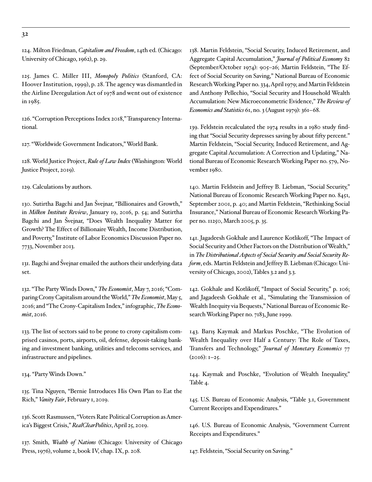124. Milton Friedman, *Capitalism and Freedom*, 14th ed. (Chicago: University of Chicago, 1962), p. 29.

125. James C. Miller III, *Monopoly Politics* (Stanford, CA: Hoover Institution, 1999), p. 28. The agency was dismantled in the Airline Deregulation Act of 1978 and went out of existence in 1985.

126. "Corruption Perceptions Index 2018," Transparency International.

127. "Worldwide Government Indicators," World Bank.

128. World Justice Project, *Rule of Law Index* (Washington: World Justice Project, 2019).

129. Calculations by authors.

130. Sutirtha Bagchi and Jan Švejnar, "Billionaires and Growth," in *Milken Institute Review*, January 19, 2016, p. 54; and Sutirtha Bagchi and Jan Švejnar, "Does Wealth Inequality Matter for Growth? The Effect of Billionaire Wealth, Income Distribution, and Poverty," Institute of Labor Economics Discussion Paper no. 7733, November 2013.

131. Bagchi and Švejnar emailed the authors their underlying data set.

132. "The Party Winds Down," *The Economist*, May 7, 2016; "Comparing Crony Capitalism around the World," *The Economist*, May 5, 2016; and "The Crony-Capitalism Index," infographic, *The Economist*, 2016.

133. The list of sectors said to be prone to crony capitalism comprised casinos, ports, airports, oil, defense, deposit-taking banking and investment banking, utilities and telecoms services, and infrastructure and pipelines.

134. "Party Winds Down."

135. Tina Nguyen, "Bernie Introduces His Own Plan to Eat the Rich," *Vanity Fair*, February 1, 2019.

136. Scott Rasmussen, "Voters Rate Political Corruption as America's Biggest Crisis," *RealClearPolitics*, April 25, 2019.

137. Smith, *Wealth of Nations* (Chicago: University of Chicago Press, 1976), volume 2, book IV, chap. IX, p. 208.

138. Martin Feldstein, "Social Security, Induced Retirement, and Aggregate Capital Accumulation," *Journal of Political Economy* 82 (September/October 1974): 905–26; Martin Feldstein, "The Effect of Social Security on Saving," National Bureau of Economic Research Working Paper no. 334, April 1979; and Martin Feldstein and Anthony Pellechio, "Social Security and Household Wealth Accumulation: New Microeconometric Evidence," *The Review of Economics and Statistics* 61, no. 3 (August 1979): 361–68.

139. Feldstein recalculated the 1974 results in a 1980 study finding that "Social Security depresses saving by about fifty percent." Martin Feldstein, "Social Security, Induced Retirement, and Aggregate Capital Accumulation: A Correction and Updating," National Bureau of Economic Research Working Paper no. 579, November 1980.

140. Martin Feldstein and Jeffrey B. Liebman, "Social Security," National Bureau of Economic Research Working Paper no. 8451, September 2001, p. 40; and Martin Feldstein, "Rethinking Social Insurance," National Bureau of Economic Research Working Paper no. 11250, March 2005, p. 35.

141. Jagadeesh Gokhale and Laurence Kotlikoff, "The Impact of Social Security and Other Factors on the Distribution of Wealth," in *The Distributional Aspects of Social Security and Social Security Reform*, eds. Martin Feldstein and Jeffrey B. Liebman (Chicago: University of Chicago, 2002), Tables 3.2 and 3.3.

142. Gokhale and Kotlikoff, "Impact of Social Security," p. 106; and Jagadeesh Gokhale et al., "Simulating the Transmission of Wealth Inequity via Bequests," National Bureau of Economic Research Working Paper no. 7183, June 1999.

143. Barış Kaymak and Markus Poschke, "The Evolution of Wealth Inequality over Half a Century: The Role of Taxes, Transfers and Technology," *Journal of Monetary Economics* 77 (2016): 1–25.

144. Kaymak and Poschke, "Evolution of Wealth Inequality," Table 4.

145. U.S. Bureau of Economic Analysis, "Table 3.1, Government Current Receipts and Expenditures."

146. U.S. Bureau of Economic Analysis, "Government Current Receipts and Expenditures."

147. Feldstein, "Social Security on Saving."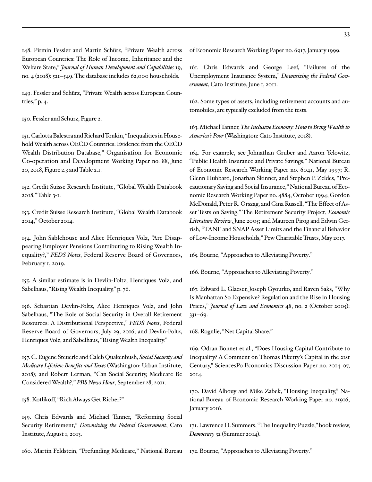148. Pirmin Fessler and Martin Schürz, "Private Wealth across European Countries: The Role of Income, Inheritance and the Welfare State," *Journal of Human Development and Capabilities* 19, no. 4 (2018): 521–549. The database includes 62,000 households.

149. Fessler and Schürz, "Private Wealth across European Countries," p. 4.

150. Fessler and Schürz, Figure 2.

151. Carlotta Balestra and Richard Tonkin, "Inequalities in Household Wealth across OECD Countries: Evidence from the OECD Wealth Distribution Database," Organisation for Economic Co-operation and Development Working Paper no. 88, June 20, 2018, Figure 2.3 and Table 2.1.

152. Credit Suisse Research Institute, "Global Wealth Databook 2018," Table 3-1.

153. [Credit](http://piketty.pse.ens.fr/files/CSGlobalWealthDatabookOctober2014.pdf) Suisse Research Institute, "Global Wealth Databook 2014," October 2014.

154. John Sablehouse and Alice Henriques Volz, "Are Disappearing Employer Pensions Contributing to Rising Wealth Inequality?," *FEDS Notes*, Federal Reserve Board of Governors, February 1, 2019.

155. A similar estimate is in Devlin-Foltz, Henriques Volz, and Sabelhaus, "Rising Wealth Inequality," p. 76.

156. Sebastian Devlin-Foltz, Alice Henriques Volz, and John Sabelhaus, "The Role of Social Security in Overall Retirement Resources: A Distributional Perspective," *FEDS Notes*, Federal Reserve Board of Governors, July 29, 2016; and Devlin-Foltz, Henriques Volz, and Sabelhaus, "Rising Wealth Inequality."

157. C. Eugene Steuerle and Caleb Quakenbush, *Social Security and Medicare Lifetime Benefits and Taxes* (Washington: Urban Institute, 2018); and Robert Lerman, "Can Social Security, Medicare Be Considered Wealth?," *PBS News Hour*, September 28, 2011.

158. Kotlikoff, "Rich Always Get Richer?"

159. [Chris](https://www.downsizinggovernment.org/ssa/social-security-retirement) Edwards and Michael Tanner, ["Reforming Social](https://www.downsizinggovernment.org/ssa/social-security-retirement) [Security Retirement](https://www.downsizinggovernment.org/ssa/social-security-retirement)," *Downsizing the Federal Government*, Cato Institute, August 1, 2013.

160. Martin Feldstein, "Prefunding Medicare," National Bureau

of Economic Research Working Paper no. 6917, January 1999.

161. [Chris](https://www.downsizinggovernment.org/labor/failures-of-unemployment-insurance) Edwards and George Leef, "[Failures of the](https://www.downsizinggovernment.org/labor/failures-of-unemployment-insurance) [Unemployment Insurance System,](https://www.downsizinggovernment.org/labor/failures-of-unemployment-insurance)" *Downsizing the Federal Government*, Cato Institute, June 1, 2011.

162. Some types of assets, including retirement accounts and automobiles, are typically excluded from the tests.

163. Michael Tanner, *[The Inclusive Economy: How to Bring Wealth to](https://www.amazon.com/Inclusive-Economy-Bring-Wealth-Americas/dp/194864701X) [America's Poor](https://www.amazon.com/Inclusive-Economy-Bring-Wealth-Americas/dp/194864701X)* (Washington: Cato Institute, 2018).

164. For example, see Johnathan Gruber and Aaron Yelowitz, "Public Health Insurance and Private Savings," National Bureau of Economic Research Working Paper no. 6041, May 1997; [R.](https://www.nber.org/papers/w4884) Glenn Hubbard, Jonathan Skinner, and Stephen P. Zeldes, "Precautionary Saving and Social Insurance," National Bureau of Economic Research Working Paper no. 4884, October 1994; Gordon McDonald, Peter R. Orszag, and Gina Russell, "The Effect of Asset Tests on Saving," The Retirement Security Project, *Economic Literature Review*, June 2005; and Maureen Pirog and Edwin Gerrish, "TANF and SNAP Asset Limits and the Financial Behavior of Low-Income Households," Pew Charitable Trusts, May 2017.

165. Bourne, ["Approaches to Alleviating Poverty](https://www.cato.org/publications/policy-analysis/government-cost-living-income-based-vs-cost-based-approaches)."

166. Bourne, "[Approaches to Alleviating Poverty.](https://www.cato.org/publications/policy-analysis/government-cost-living-income-based-vs-cost-based-approaches)"

167. Edward L. Glaeser, Joseph Gyourko, and Raven Saks, "Why Is Manhattan So Expensive? Regulation and the Rise in Housing Prices," *Journal of Law and Economics* 48, no. 2 (October 2005): 331–69.

168. Rognlie, "Net Capital Share."

169. [Odran](https://ideas.repec.org/p/spo/wpecon/infohdl2441-30nstiku669glbr66l6n7mc2oq.html) Bonnet et al., "Does Housing Capital Contribute to Inequality? A Comment on Thomas Piketty's Capital in the 21st Century," SciencesPo Economics Discussion Paper no. 2014-07, 2014.

170. [David](https://www.nber.org/papers/w21916) Albouy and Mike Zabek, "Housing Inequality," National Bureau of Economic Research Working Paper no. 21916, January 2016.

171. [Lawrence](http://larrysummers.com/2014/05/14/piketty-book-review-the-inequality-puzzle/) H. Summers, "The Inequality Puzzle," book review, *Democracy* 32 (Summer 2014).

172. Bourne, ["Approaches to Alleviating Poverty.](https://www.cato.org/publications/policy-analysis/government-cost-living-income-based-vs-cost-based-approaches)"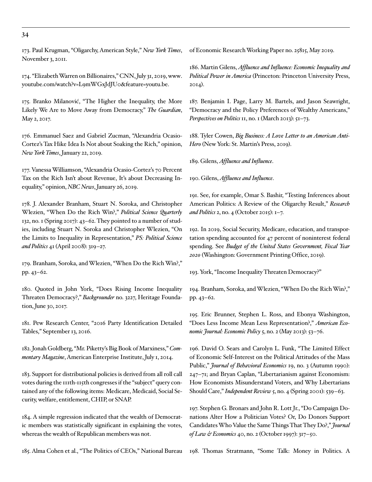173. Paul Krugman, "Oligarchy, American Style," *New York Times*, November 3, 2011.

174. "Elizabeth Warren on Billionaires," CNN, July 31, 2019, [www.](http://www.youtube.com/watch?v=L9mWGxJdJU0&feature=youtu.be.) [youtube.com/watch?v=L9mWGxJdJU0&feature=youtu.be.](http://www.youtube.com/watch?v=L9mWGxJdJU0&feature=youtu.be.)

175. Branko Milanović, "The Higher the Inequality, the More Likely We Are to Move Away from Democracy," *The Guardian*, May 2, 2017.

176. Emmanuel Saez and Gabriel Zucman, "Alexandria Ocasio-Cortez's Tax Hike Idea Is Not about Soaking the Rich," opinion, *New York Times*, January 22, 2019.

177. Vanessa Williamson, "Alexandria Ocasio-Cortez's 70 Percent Tax on the Rich Isn't about Revenue, It's about Decreasing Inequality," opinion, *NBC News*, January 26, 2019.

178. J. Alexander Branham, Stuart N. Soroka, and Christopher Wlezien, "When Do the Rich Win?," *Political Science Quarterly* 132, no. 1 (Spring 2017): 43–62. They pointed to a number of studies, including Stuart N. Soroka and Christopher Wlezien, "On the Limits to Inequality in Representation," *PS: Political Science and Politics* 41 (April 2008): 319–27.

179. Branham, Soroka, and Wlezien, "When Do the Rich Win?," pp. 43–62.

180. Quoted in John York, "Does Rising Income Inequality Threaten Democracy?," *Backgrounder* no. 3227, Heritage Foundation, June 30, 2017.

181. Pew Research Center, "2016 Party Identification Detailed Tables," September 13, 2016.

182. Jonah Goldberg, "Mr. Piketty's Big Book of Marxiness," *Commentary Magazine*, American Enterprise Institute, July 1, 2014.

183. Support for distributional policies is derived from all roll call votes during the 111th-115th congresses if the "subject" query contained any of the following items: Medicare, Medicaid, Social Security, welfare, entitlement, CHIP, or SNAP.

184. A simple regression indicated that the wealth of Democratic members was statistically significant in explaining the votes, whereas the wealth of Republican members was not.

185. Alma Cohen et al., "The Politics of CEOs," National Bureau

of Economic Research Working Paper no. 25815, May 2019.

186. Martin Gilens, *Affluence and Influence: Economic Inequality and Political Power in America* (Princeton: Princeton University Press, 2014).

187. Benjamin I. Page, Larry M. Bartels, and Jason Seawright, "Democracy and the Policy Preferences of Wealthy Americans," *Perspectives on Politics* 11, no. 1 (March 2013): 51–73.

188. Tyler Cowen, *Big Business: A Love Letter to an American Anti-Hero* (New York: St. Martin's Press, 2019).

189. Gilens, *Affluence and Influence*.

190. Gilens, *Affluence and Influence*.

191. See, for example, Omar S. Bashir, "Testing Inferences about American Politics: A Review of the Oligarchy Result," *Research and Politics* 2, no. 4 (October 2015): 1–7.

192. In 2019, Social Security, Medicare, education, and transportation spending accounted for 47 percent of noninterest federal spending. See *Budget of the United States Government, Fiscal Year 2020* (Washington: Government Printing Office, 2019).

193. York, "Income Inequality Threaten Democracy?"

194. Branham, Soroka, and Wlezien, "When Do the Rich Win?," pp. 43–62.

195. Eric Brunner, Stephen L. Ross, and Ebonya Washington, "Does Less Income Mean Less Representation?," *American Economic Journal: Economic Policy* 5, no. 2 (May 2013): 53–76.

196. David O. Sears and Carolyn L. Funk, "The Limited Effect of Economic Self-Interest on the Political Attitudes of the Mass Public," *Journal of Behavioral Economics* 19, no. 3 (Autumn 1990): 247–71; and Bryan Caplan, "Libertarianism against Economism: How Economists Misunderstand Voters, and Why Libertarians Should Care," *Independent Review* 5, no. 4 (Spring 2001): 539–63.

197. Stephen G. Bronars and John R. Lott Jr., "Do Campaign Donations Alter How a Politician Votes? Or, Do Donors Support Candidates Who Value the Same Things That They Do?," *Journal of Law & Economics* 40, no. 2 (October 1997): 317–50.

198. Thomas Stratmann, "Some Talk: Money in Politics. A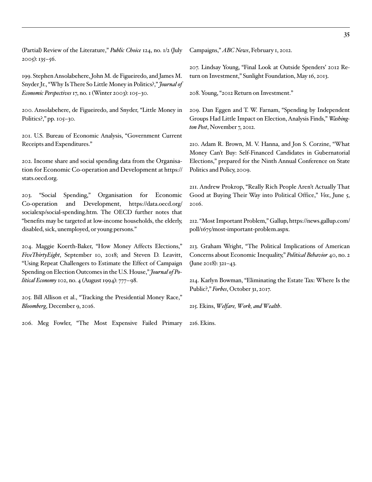(Partial) Review of the Literature," *Public Choice* 124, no. 1/2 (July 2005): 135–56.

199. Stephen Ansolabehere, John M. de Figueiredo, and James M. Snyder Jr., "Why Is There So Little Money in Politics?," *Journal of Economic Perspectives* 17, no. 1 (Winter 2003): 105–30.

200. Ansolabehere, de Figueiredo, and Snyder, "Little Money in Politics?," pp. 105–30.

201. U.S. Bureau of Economic Analysis, "Government Current Receipts and Expenditures."

202. Income share and social spending data from the Organisation for Economic Co-operation and Development at [https://](https://stats.oecd.org/) [stats.oecd.org.](https://stats.oecd.org/)

203. "Social Spending," Organisation for Economic Co-operation and Development, [https://data.oecd.org/](https://data.oecd.org/socialexp/social-spending.htm) [socialexp/social-spending.htm](https://data.oecd.org/socialexp/social-spending.htm). The OECD further notes that "benefits may be targeted at low-income households, the elderly, disabled, sick, unemployed, or young persons."

204. Maggie Koerth-Baker, "How Money Affects Elections," *[FiveThirtyEight](http://www.fivethirtyeight.com)*, September 10, 2018; and Steven D. Leavitt, "Using Repeat Challengers to Estimate the Effect of Campaign Spending on Election Outcomes in the U.S. House," *Journal of Political Economy* 102, no. 4 (August 1994): 777–98.

205. Bill Allison et al., "Tracking the Presidential Money Race," *Bloomberg*, December 9, 2016.

206. Meg Fowler, "The Most Expensive Failed Primary

Campaigns," *ABC News*, February 1, 2012.

207. Lindsay Young, "Final Look at Outside Spenders' 2012 Return on Investment," Sunlight Foundation, May 16, 2013.

208. Young, "2012 Return on Investment."

209. Dan Eggen and T. W. Farnam, "Spending by Independent Groups Had Little Impact on Election, Analysis Finds," *Washington Post*, November 7, 2012.

210. Adam R. Brown, M. V. Hanna, and Jon S. Corzine, "What Money Can't Buy: Self-Financed Candidates in Gubernatorial Elections," prepared for the Ninth Annual Conference on State Politics and Policy, 2009.

211. Andrew Prokrop, "Really Rich People Aren't Actually That Good at Buying Their Way into Political Office," *Vox*, June 5, 2016.

212. "Most Important Problem," Gallup, [https://news.gallup.com/](https://news.gallup.com/poll/1675/most-important-problem.aspx) [poll/1675/most-important-problem.aspx.](https://news.gallup.com/poll/1675/most-important-problem.aspx)

213. Graham Wright, "The Political Implications of American Concerns about Economic Inequality," *Political Behavior* 40, no. 2 (June 2018): 321–43.

214. Karlyn Bowman, "Eliminating the Estate Tax: Where Is the Public?," *Forbes*, October 31, 2017.

215. Ekins, *[Welfare, Work, and Wealth](https://www.cato.org/sites/cato.org/files/2019-09/Cato2019WelfareWorkWealthSurveyReport%20%281%29.pdf)*.

216. Ekins.